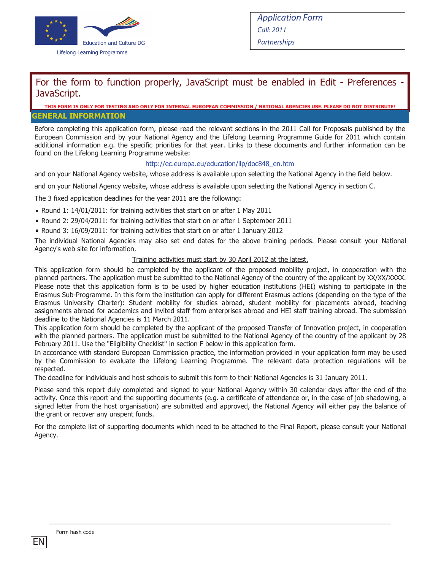

### For the form to function properly, JavaScript must be enabled in Edit - Preferences -JavaScript.

#### S FORM IS ONLY FOR TESTING AND ONLY FOR INTERNAL EUROPEAN COMMISSION / NATIONAL AGENCIES USE. PLEASE DO NOT DI **GENERAL INFORMATION**

Before completing this application form, please read the relevant sections in the 2011 Call for Proposals published by the European Commission and by your National Agency and the Lifelong Learning Programme Guide for 2011 which contain additional information e.g. the specific priorities for that year. Links to these documents and further information can be found on the Lifelong Learning Programme website:

#### http://ec.europa.eu/education/llp/doc848\_en.htm

and on your National Agency website, whose address is available upon selecting the National Agency in the field below.

and on your National Agency website, whose address is available upon selecting the National Agency in section C.

The 3 fixed application deadlines for the year 2011 are the following:

- **Round 1: 14/01/2011: for training activities that start on or after 1 May 2011**
- Round 2: 29/04/2011: for training activities that start on or after 1 September 2011
- Round 3: 16/09/2011: for training activities that start on or after 1 January 2012

The individual National Agencies may also set end dates for the above training periods. Please consult your National Agency's web site for information.

#### Training activities must start by 30 April 2012 at the latest.

This application form should be completed by the applicant of the proposed mobility project, in cooperation with the planned partners. The application must be submitted to the National Agency of the country of the applicant by XX/XX/XXXX. Please note that this application form is to be used by higher education institutions (HEI) wishing to participate in the Erasmus Sub-Programme. In this form the institution can apply for different Erasmus actions (depending on the type of the Erasmus University Charter): Student mobility for studies abroad, student mobility for placements abroad, teaching assignments abroad for academics and invited staff from enterprises abroad and HEI staff training abroad. The submission deadline to the National Agencies is 11 March 2011.

This application form should be completed by the applicant of the proposed Transfer of Innovation project, in cooperation with the planned partners. The application must be submitted to the National Agency of the country of the applicant by 28 February 2011. Use the "Eligibility Checklist" in section F below in this application form.

In accordance with standard European Commission practice, the information provided in your application form may be used by the Commission to evaluate the Lifelong Learning Programme. The relevant data protection regulations will be respected.

The deadline for individuals and host schools to submit this form to their National Agencies is 31 January 2011.

Please send this report duly completed and signed to your National Agency within 30 calendar days after the end of the activity. Once this report and the supporting documents (e.g. a certificate of attendance or, in the case of job shadowing, a signed letter from the host organisation) are submitted and approved, the National Agency will either pay the balance of the grant or recover any unspent funds.

For the complete list of supporting documents which need to be attached to the Final Report, please consult your National Agency.

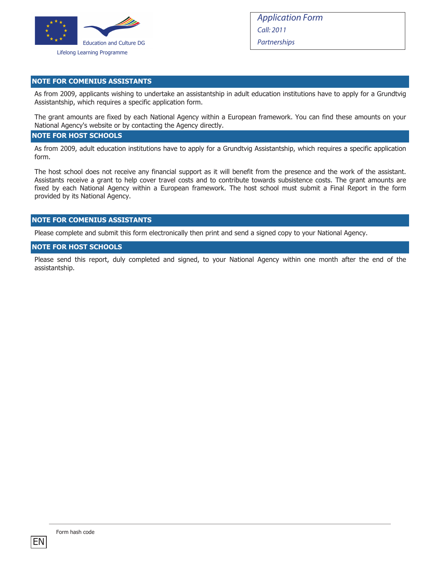

#### **NOTE FOR COMENIUS ASSISTANTS**

As from 2009, applicants wishing to undertake an assistantship in adult education institutions have to apply for a Grundtvig Assistantship, which requires a specific application form.

The grant amounts are fixed by each National Agency within a European framework. You can find these amounts on your National Agency's website or by contacting the Agency directly.

#### **NOTE FOR HOST SCHOOLS**

As from 2009, adult education institutions have to apply for a Grundtvig Assistantship, which requires a specific application form.

The host school does not receive any financial support as it will benefit from the presence and the work of the assistant. Assistants receive a grant to help cover travel costs and to contribute towards subsistence costs. The grant amounts are fixed by each National Agency within a European framework. The host school must submit a Final Report in the form provided by its National Agency.

#### **NOTE FOR COMENIUS ASSISTANTS**

Please complete and submit this form electronically then print and send a signed copy to your National Agency.

#### **NOTE FOR HOST SCHOOLS**

Please send this report, duly completed and signed, to your National Agency within one month after the end of the assistantship.

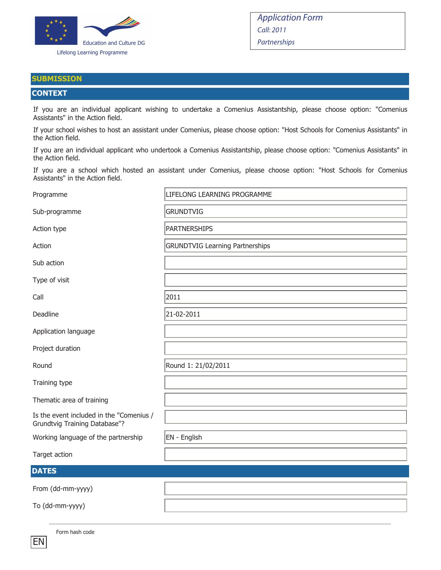

#### **SUBMISSION**

#### **CONTEXT**

If you are an individual applicant wishing to undertake a Comenius Assistantship, please choose option: "Comenius Assistants" in the Action field.

If your school wishes to host an assistant under Comenius, please choose option: "Host Schools for Comenius Assistants" in the Action field.

If you are an individual applicant who undertook a Comenius Assistantship, please choose option: "Comenius Assistants" in the Action field.

If you are a school which hosted an assistant under Comenius, please choose option: "Host Schools for Comenius Assistants" in the Action field.

| Programme                                                                 | LIFELONG LEARNING PROGRAMME            |
|---------------------------------------------------------------------------|----------------------------------------|
| Sub-programme                                                             | <b>GRUNDTVIG</b>                       |
| Action type                                                               | <b>PARTNERSHIPS</b>                    |
| Action                                                                    | <b>GRUNDTVIG Learning Partnerships</b> |
| Sub action                                                                |                                        |
| Type of visit                                                             |                                        |
| Call                                                                      | 2011                                   |
| Deadline                                                                  | 21-02-2011                             |
| Application language                                                      |                                        |
| Project duration                                                          |                                        |
| Round                                                                     | Round 1: 21/02/2011                    |
| Training type                                                             |                                        |
| Thematic area of training                                                 |                                        |
| Is the event included in the "Comenius /<br>Grundtvig Training Database"? |                                        |
| Working language of the partnership                                       | EN - English                           |
| Target action                                                             |                                        |
| <b>DATES</b>                                                              |                                        |
| From (dd-mm-yyyy)                                                         |                                        |
| To (dd-mm-yyyy)                                                           |                                        |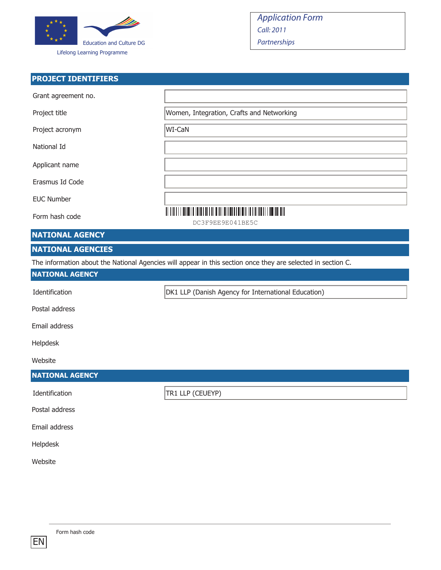

### **PROJECT IDENTIFIERS**

| Grant agreement no.                                                                                          |                                                     |  |
|--------------------------------------------------------------------------------------------------------------|-----------------------------------------------------|--|
| Project title                                                                                                | Women, Integration, Crafts and Networking           |  |
| Project acronym                                                                                              | WI-CaN                                              |  |
| National Id                                                                                                  |                                                     |  |
| Applicant name                                                                                               |                                                     |  |
| Erasmus Id Code                                                                                              |                                                     |  |
| <b>EUC Number</b>                                                                                            |                                                     |  |
| Form hash code                                                                                               | DC3F9EE9E041BE5C                                    |  |
| <b>NATIONAL AGENCY</b>                                                                                       |                                                     |  |
| <b>NATIONAL AGENCIES</b>                                                                                     |                                                     |  |
| The information about the National Agencies will appear in this section once they are selected in section C. |                                                     |  |
| <b>NATIONAL AGENCY</b>                                                                                       |                                                     |  |
| Identification                                                                                               | DK1 LLP (Danish Agency for International Education) |  |

Postal address

Email address

Helpdesk

Website

### **NATIONAL AGENCY**

Identification TR1 LLP (CEUEYP)

Postal address

Email address

Helpdesk

Website

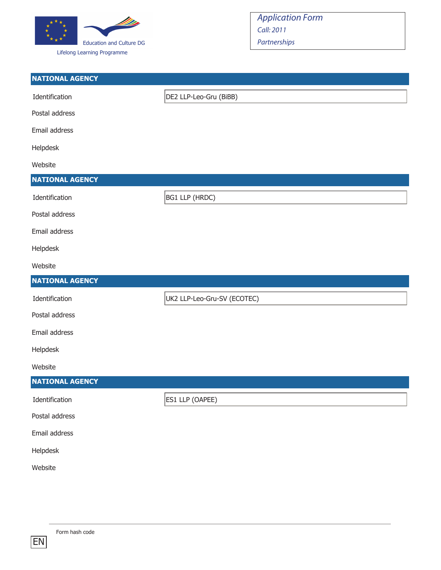

| <b>NATIONAL AGENCY</b> |                             |
|------------------------|-----------------------------|
| Identification         | DE2 LLP-Leo-Gru (BiBB)      |
| Postal address         |                             |
| Email address          |                             |
| Helpdesk               |                             |
| Website                |                             |
| <b>NATIONAL AGENCY</b> |                             |
| Identification         | <b>BG1 LLP (HRDC)</b>       |
| Postal address         |                             |
| Email address          |                             |
| Helpdesk               |                             |
| Website                |                             |
|                        |                             |
| <b>NATIONAL AGENCY</b> |                             |
| Identification         | UK2 LLP-Leo-Gru-SV (ECOTEC) |
| Postal address         |                             |
| Email address          |                             |
| Helpdesk               |                             |
| Website                |                             |
| <b>NATIONAL AGENCY</b> |                             |
| Identification         | ES1 LLP (OAPEE)             |
| Postal address         |                             |
| Email address          |                             |
| Helpdesk               |                             |
| Website                |                             |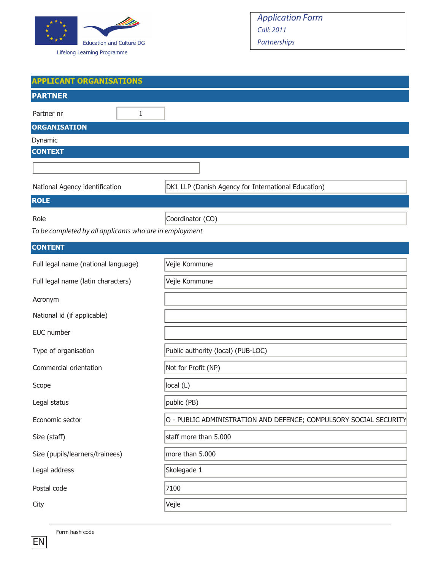

| <b>APPLICANT ORGANISATIONS</b>                                    |  |  |
|-------------------------------------------------------------------|--|--|
|                                                                   |  |  |
|                                                                   |  |  |
|                                                                   |  |  |
|                                                                   |  |  |
|                                                                   |  |  |
|                                                                   |  |  |
| DK1 LLP (Danish Agency for International Education)               |  |  |
|                                                                   |  |  |
| Coordinator (CO)                                                  |  |  |
| To be completed by all applicants who are in employment           |  |  |
|                                                                   |  |  |
| Vejle Kommune                                                     |  |  |
| Vejle Kommune                                                     |  |  |
|                                                                   |  |  |
|                                                                   |  |  |
|                                                                   |  |  |
| Public authority (local) (PUB-LOC)                                |  |  |
| Not for Profit (NP)                                               |  |  |
| local (L)                                                         |  |  |
| public (PB)                                                       |  |  |
| O - PUBLIC ADMINISTRATION AND DEFENCE; COMPULSORY SOCIAL SECURITY |  |  |
| staff more than 5.000                                             |  |  |
| more than 5.000                                                   |  |  |
| Skolegade 1                                                       |  |  |
| 7100                                                              |  |  |
| Vejle                                                             |  |  |
|                                                                   |  |  |

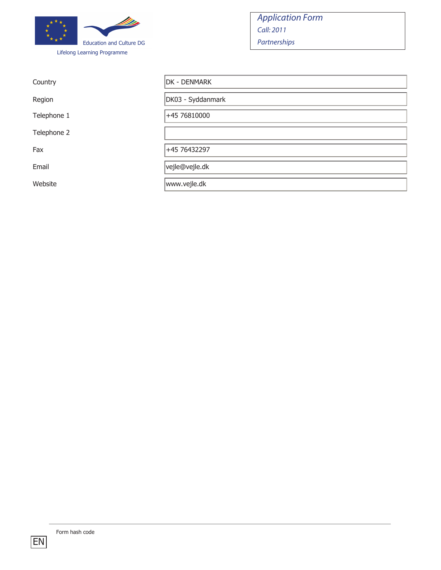

Country

Region

Telephone 1

Telephone 2

Website

| Country     | DK - DENMARK      |
|-------------|-------------------|
| Region      | DK03 - Syddanmark |
| Telephone 1 | +45 76810000      |
| Telephone 2 |                   |
| Fax         | +45 76432297      |
| Email       | vejle@vejle.dk    |
| Website     | www.vejle.dk      |

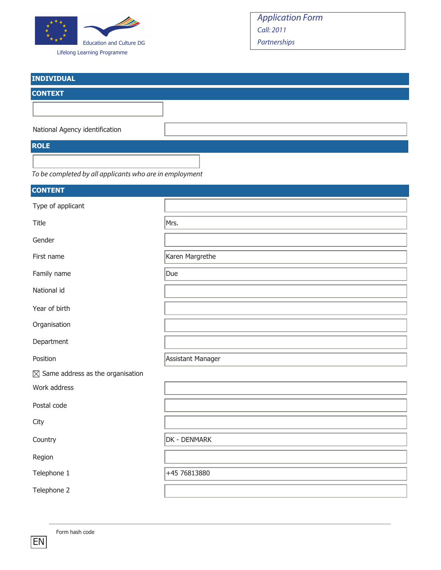

| <b>INDIVIDUAL</b>                                       |  |
|---------------------------------------------------------|--|
| <b>CONTEXT</b>                                          |  |
|                                                         |  |
| National Agency identification                          |  |
| <b>ROLE</b>                                             |  |
|                                                         |  |
| To be completed by all applicants who are in employment |  |

| <b>CONTENT</b>                               |                   |
|----------------------------------------------|-------------------|
| Type of applicant                            |                   |
| Title                                        | Mrs.              |
| Gender                                       |                   |
| First name                                   | Karen Margrethe   |
| Family name                                  | Due               |
| National id                                  |                   |
| Year of birth                                |                   |
| Organisation                                 |                   |
| Department                                   |                   |
| Position                                     | Assistant Manager |
| $\boxtimes$ Same address as the organisation |                   |
| Work address                                 |                   |
| Postal code                                  |                   |
| City                                         |                   |
| Country                                      | DK - DENMARK      |
| Region                                       |                   |
| Telephone 1                                  | +45 76813880      |
| Telephone 2                                  |                   |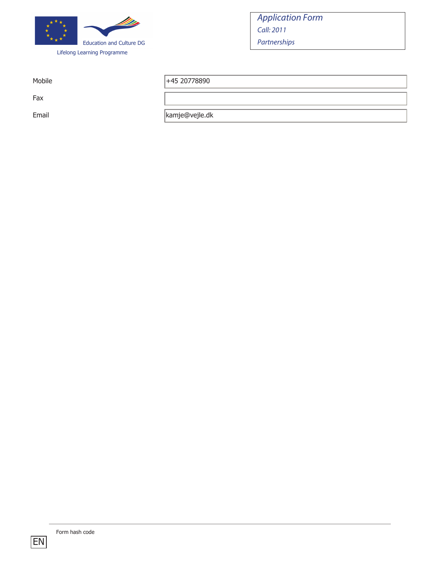

Fax

Mobile  $|+45\,20778890$ 

Email kamje@vejle.dk

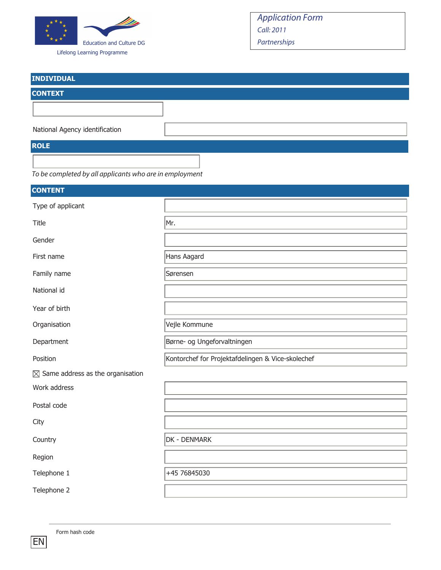

Lifelong Learning Programme

| <b>INDIVIDUAL</b>                                       |  |
|---------------------------------------------------------|--|
| <b>CONTEXT</b>                                          |  |
|                                                         |  |
| National Agency identification                          |  |
| <b>ROLE</b>                                             |  |
| To be completed by all applicants who are in employment |  |

| <b>CONTENT</b>                               |                                                   |
|----------------------------------------------|---------------------------------------------------|
| Type of applicant                            |                                                   |
| Title                                        | Mr.                                               |
| Gender                                       |                                                   |
| First name                                   | Hans Aagard                                       |
| Family name                                  | Sørensen                                          |
| National id                                  |                                                   |
| Year of birth                                |                                                   |
| Organisation                                 | Vejle Kommune                                     |
| Department                                   | Børne- og Ungeforvaltningen                       |
| Position                                     | Kontorchef for Projektafdelingen & Vice-skolechef |
| $\boxtimes$ Same address as the organisation |                                                   |
| Work address                                 |                                                   |
| Postal code                                  |                                                   |
| City                                         |                                                   |
| Country                                      | DK - DENMARK                                      |
| Region                                       |                                                   |
| Telephone 1                                  | +45 76845030                                      |
| Telephone 2                                  |                                                   |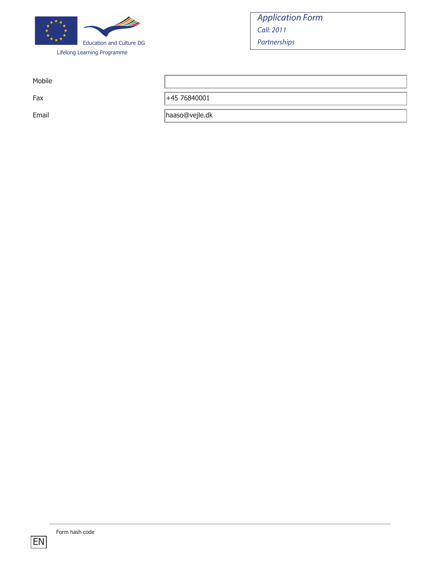

Mobile

Fax +45 76840001

Email haaso@vejle.dk

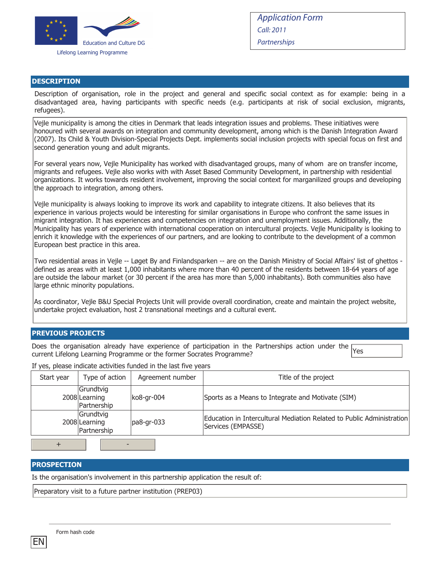

#### **DESCRIPTION**

Description of organisation, role in the project and general and specific social context as for example: being in a disadvantaged area, having participants with specific needs (e.g. participants at risk of social exclusion, migrants, refugees).

Vejle municipality is among the cities in Denmark that leads integration issues and problems. These initiatives were honoured with several awards on integration and community development, among which is the Danish Integration Award (2007). Its Child & Youth Division-Special Projects Dept. implements social inclusion projects with special focus on first and second generation young and adult migrants.

For several years now, Vejle Municipality has worked with disadvantaged groups, many of whom are on transfer income, migrants and refugees. Vejle also works with with Asset Based Community Development, in partnership with residential organizations. It works towards resident involvement, improving the social context for marganilized groups and developing the approach to integration, among others.

Vejle municipality is always looking to improve its work and capability to integrate citizens. It also believes that its experience in various projects would be interesting for similar organisations in Europe who confront the same issues in migrant integration. It has experiences and competencies on integration and unemployment issues. Additionally, the Municipality has years of experience with international cooperation on intercultural projects. Vejle Municipality is looking to enrich it knowledge with the experiences of our partners, and are looking to contribute to the development of a common European best practice in this area.

Two residential areas in Vejle -- Løget By and Finlandsparken -- are on the Danish Ministry of Social Affairs' list of ghettos defined as areas with at least 1,000 inhabitants where more than 40 percent of the residents between 18-64 years of age are outside the labour market (or 30 percent if the area has more than 5,000 inhabitants). Both communities also have large ethnic minority populations.

As coordinator, Vejle B&U Special Projects Unit will provide overall coordination, create and maintain the project website, undertake project evaluation, host 2 transnational meetings and a cultural event.

#### **PREVIOUS PROJECTS**

Does the organisation already have experience of participation in the Partnerships action under the Experience or the formulation in the state of paradigment in the remainder sensitive answership Programme?

If yes, please indicate activities funded in the last five years

| Start year | Type of action                            | Agreement number | Title of the project                                                                        |
|------------|-------------------------------------------|------------------|---------------------------------------------------------------------------------------------|
|            | Grundtvig<br>2008 Learning<br>Partnership | ko8-gr-004       | Sports as a Means to Integrate and Motivate (SIM)                                           |
|            | Grundtvig<br>2008 Learning<br>Partnership | pa8-gr-033       | Education in Intercultural Mediation Related to Public Administration<br>Services (EMPASSE) |
|            |                                           |                  |                                                                                             |

+ -

### **PROSPECTION**

Is the organisation's involvement in this partnership application the result of:

Preparatory visit to a future partner institution (PREP03)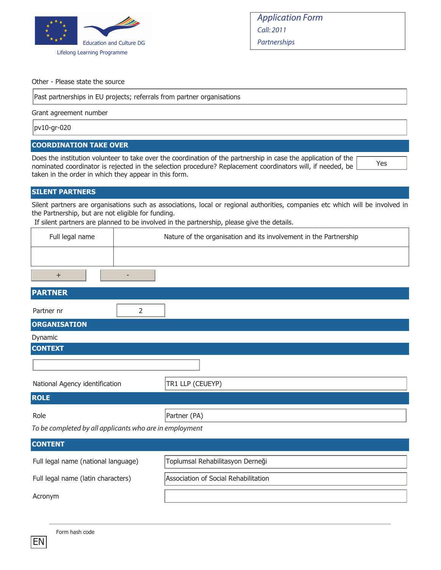

#### Other - Please state the source

Past partnerships in EU projects; referrals from partner organisations

Grant agreement number

pv10-gr-020

#### **COORDINATION TAKE OVER**

Does the institution volunteer to take over the coordination of the partnership in case the application of the nominated coordinator is rejected in the selection procedure? Replacement coordinators will, if needed, be taken in the order in which they appear in this form.

Yes

#### **SILENT PARTNERS**

Silent partners are organisations such as associations, local or regional authorities, companies etc which will be involved in the Partnership, but are not eligible for funding.

If silent partners are planned to be involved in the partnership, please give the details.

| Full legal name | Nature of the organisation and its involvement in the Partnership |  |
|-----------------|-------------------------------------------------------------------|--|
|                 |                                                                   |  |
|                 |                                                                   |  |

| <b>PARTNER</b>                                          |                  |
|---------------------------------------------------------|------------------|
| Partner nr<br>2                                         |                  |
| <b>ORGANISATION</b>                                     |                  |
| Dynamic                                                 |                  |
| <b>CONTEXT</b>                                          |                  |
|                                                         |                  |
| National Agency identification                          | TR1 LLP (CEUEYP) |
| <b>ROLE</b>                                             |                  |
| Role                                                    | Partner (PA)     |
| To be completed by all applicants who are in employment |                  |

| <b>CONTENT</b>                      |                                      |
|-------------------------------------|--------------------------------------|
| Full legal name (national language) | Toplumsal Rehabilitasyon Derneği     |
| Full legal name (latin characters)  | Association of Social Rehabilitation |
| Acronym                             |                                      |

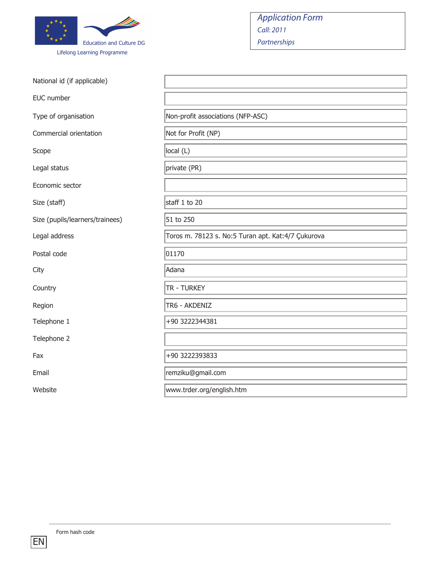

Telephone 2

| <b>Education and Culture DG</b><br>Lifelong Learning Programme | <b>Application Form</b><br>Call: 2011<br>Partnerships |
|----------------------------------------------------------------|-------------------------------------------------------|
| National id (if applicable)                                    |                                                       |
| EUC number                                                     |                                                       |
| Type of organisation                                           | Non-profit associations (NFP-ASC)                     |
| Commercial orientation                                         | Not for Profit (NP)                                   |
| Scope                                                          | local (L)                                             |
| Legal status                                                   | private (PR)                                          |
| Economic sector                                                |                                                       |
| Size (staff)                                                   | staff 1 to 20                                         |
| Size (pupils/learners/trainees)                                | 51 to 250                                             |

Legal address Toros m. 78123 s. No:5 Turan apt. Kat:4/7 Çukurova

Postal code 01170

City Adana

Country TR - TURKEY

Region TR6 - AKDENIZ

Telephone 1 +90 3222344381

Fax  $+90\,3222393833$ 

Email **Email** remziku@gmail.com

Website www.trder.org/english.htm

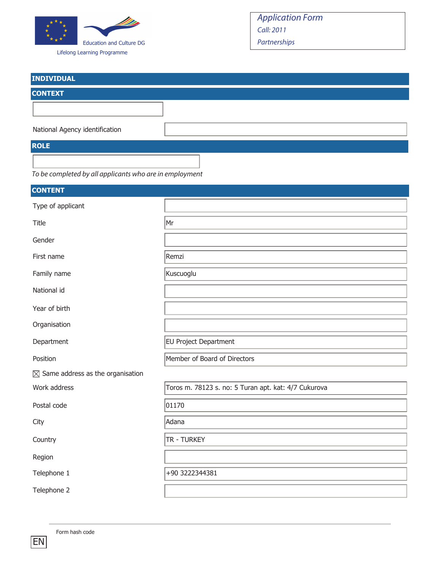

Lifelong Learning Programme

| <b>INDIVIDUAL</b>              |  |
|--------------------------------|--|
| <b>CONTEXT</b>                 |  |
|                                |  |
|                                |  |
| National Agency identification |  |
| <b>ROLE</b>                    |  |
|                                |  |



| <b>CONTENT</b>                               |                                                      |
|----------------------------------------------|------------------------------------------------------|
| Type of applicant                            |                                                      |
| Title                                        | $\mathsf{Mr}$                                        |
| Gender                                       |                                                      |
| First name                                   | Remzi                                                |
| Family name                                  | Kuscuoglu                                            |
| National id                                  |                                                      |
| Year of birth                                |                                                      |
| Organisation                                 |                                                      |
| Department                                   | <b>EU Project Department</b>                         |
| Position                                     | Member of Board of Directors                         |
| $\boxtimes$ Same address as the organisation |                                                      |
| Work address                                 | Toros m. 78123 s. no: 5 Turan apt. kat: 4/7 Cukurova |
| Postal code                                  | 01170                                                |
| City                                         | Adana                                                |
| Country                                      | TR - TURKEY                                          |
| Region                                       |                                                      |
| Telephone 1                                  | +90 3222344381                                       |
| Telephone 2                                  |                                                      |

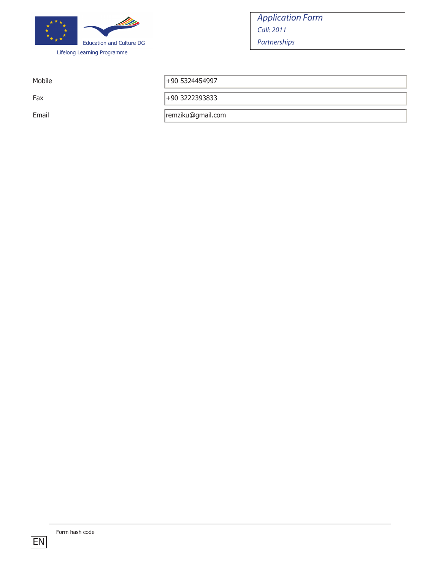

Mobile  $+90\,5324454997$ 

Fax  $+90\,3222393833$ 

Email **Email** remziku@gmail.com

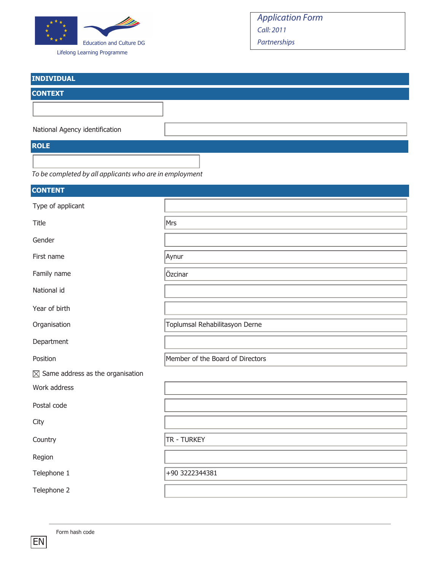

Lifelong Learning Programme

# Application Form Call: 2011 Partnerships

| <b>INDIVIDUAL</b>              |  |
|--------------------------------|--|
| <b>CONTEXT</b>                 |  |
|                                |  |
|                                |  |
| National Agency identification |  |
| <b>ROLE</b>                    |  |
|                                |  |

To be completed by all applicants who are in employment

| <b>CONTENT</b>                               |                                  |
|----------------------------------------------|----------------------------------|
| Type of applicant                            |                                  |
| Title                                        | Mrs                              |
| Gender                                       |                                  |
| First name                                   | Aynur                            |
| Family name                                  | Özcinar                          |
| National id                                  |                                  |
| Year of birth                                |                                  |
| Organisation                                 | Toplumsal Rehabilitasyon Derne   |
| Department                                   |                                  |
| Position                                     | Member of the Board of Directors |
| $\boxtimes$ Same address as the organisation |                                  |
| Work address                                 |                                  |
| Postal code                                  |                                  |
| City                                         |                                  |
| Country                                      | TR - TURKEY                      |
| Region                                       |                                  |
| Telephone 1                                  | +90 3222344381                   |
| Telephone 2                                  |                                  |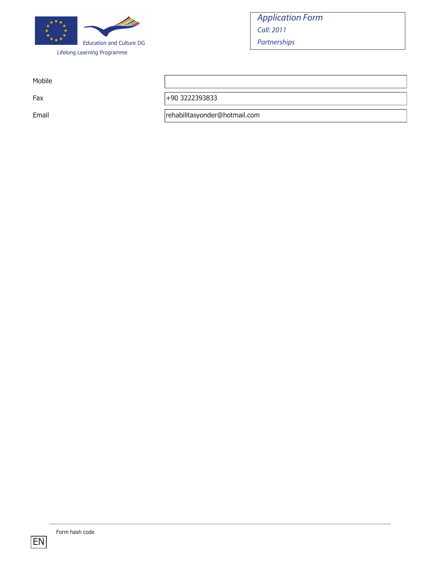

Mobile

Fax  $+90\,3222393833$ 

Email **Email** rehabilitasyonder@hotmail.com

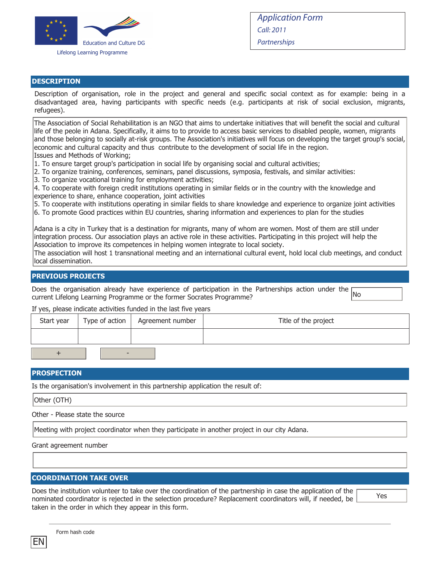

#### **DESCRIPTION**

Description of organisation, role in the project and general and specific social context as for example: being in a disadvantaged area, having participants with specific needs (e.g. participants at risk of social exclusion, migrants, refugees).

The Association of Social Rehabilitation is an NGO that aims to undertake initiatives that will benefit the social and cultural life of the peole in Adana. Specifically, it aims to to provide to access basic services to disabled people, women, migrants and those belonging to socially at-risk groups. The Association's initiatives will focus on developing the target group's social, economic and cultural capacity and thus contribute to the development of social life in the region. Issues and Methods of Working;

- 1. To ensure target group's participation in social life by organising social and cultural activities;
- 2. To organize training, conferences, seminars, panel discussions, symposia, festivals, and similar activities:
- 3. To organize vocational training for employment activities;

4. To cooperate with foreign credit institutions operating in similar fields or in the country with the knowledge and experience to share, enhance cooperation, joint activities

5. To cooperate with institutions operating in similar fields to share knowledge and experience to organize joint activities

6. To promote Good practices within EU countries, sharing information and experiences to plan for the studies

Adana is a city in Turkey that is a destination for migrants, many of whom are women. Most of them are still under integration process. Our association plays an active role in these activities. Participating in this project will help the Association to improve its competences in helping women integrate to local society.

The association will host 1 transnational meeting and an international cultural event, hold local club meetings, and conduct local dissemination.

#### **PREVIOUS PROJECTS**

Does the organisation already have experience of participation in the Partnerships action under the current Lifelong Learning Programme or the former Socrates Programme?

If yes, please indicate activities funded in the last five years

| Start year | Type of action $\vert$   | Agreement number | Title of the project |
|------------|--------------------------|------------------|----------------------|
|            |                          |                  |                      |
|            | $\overline{\phantom{0}}$ |                  |                      |

#### **PROSPECTION**

Is the organisation's involvement in this partnership application the result of:

Other (OTH)

Other - Please state the source

Meeting with project coordinator when they participate in another project in our city Adana.

Grant agreement number

#### **COORDINATION TAKE OVER**

Does the institution volunteer to take over the coordination of the partnership in case the application of the nominated coordinator is rejected in the selection procedure? Replacement coordinators will, if needed, be taken in the order in which they appear in this form.

Yes

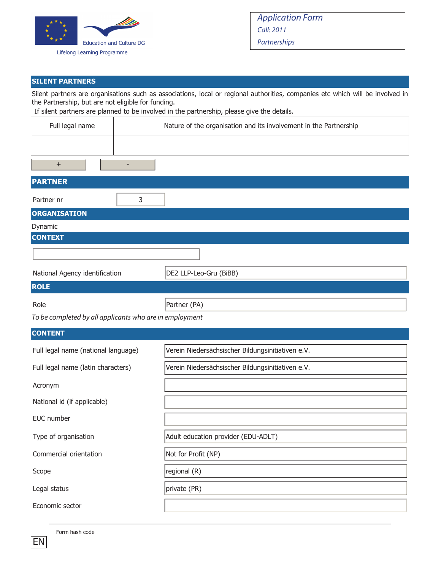

### **SILENT PARTNERS**

Silent partners are organisations such as associations, local or regional authorities, companies etc which will be involved in the Partnership, but are not eligible for funding.

If silent partners are planned to be involved in the partnership, please give the details.

| Full legal name                     | Nature of the organisation and its involvement in the Partnership |
|-------------------------------------|-------------------------------------------------------------------|
|                                     |                                                                   |
| $\ddot{}$                           | $\overline{a}$                                                    |
| <b>PARTNER</b>                      |                                                                   |
| Partner nr                          | 3                                                                 |
| <b>ORGANISATION</b>                 |                                                                   |
| Dynamic                             |                                                                   |
| <b>CONTEXT</b>                      |                                                                   |
|                                     |                                                                   |
| National Agency identification      | DE2 LLP-Leo-Gru (BiBB)                                            |
| <b>ROLE</b>                         |                                                                   |
| Role                                | Partner (PA)                                                      |
|                                     | To be completed by all applicants who are in employment           |
| <b>CONTENT</b>                      |                                                                   |
| Full legal name (national language) | Verein Niedersächsischer Bildungsinitiativen e.V.                 |
| Full legal name (latin characters)  | Verein Niedersächsischer Bildungsinitiativen e.V.                 |
| Acronym                             |                                                                   |
| National id (if applicable)         |                                                                   |
| EUC number                          |                                                                   |
| Type of organisation                | Adult education provider (EDU-ADLT)                               |
| Commercial orientation              | Not for Profit (NP)                                               |
| Scope                               | regional (R)                                                      |
| Legal status                        | private (PR)                                                      |
| Economic sector                     |                                                                   |

Form hash code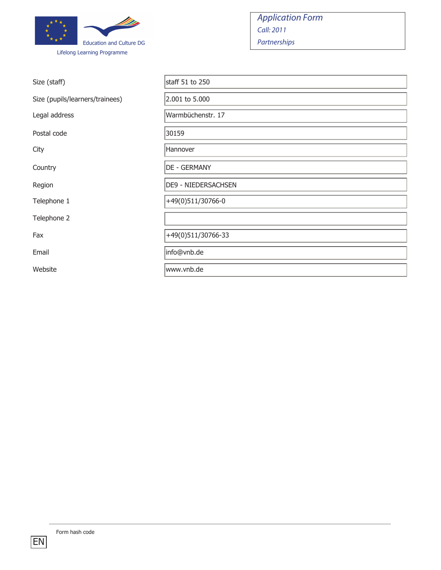

| Size (staff)                    | staff 51 to 250            |
|---------------------------------|----------------------------|
| Size (pupils/learners/trainees) | 2.001 to 5.000             |
| Legal address                   | Warmbüchenstr. 17          |
| Postal code                     | 30159                      |
| City                            | Hannover                   |
| Country                         | <b>DE - GERMANY</b>        |
| Region                          | <b>DE9 - NIEDERSACHSEN</b> |
| Telephone 1                     | +49(0)511/30766-0          |
| Telephone 2                     |                            |
| Fax                             | +49(0)511/30766-33         |
| Email                           | info@vnb.de                |
| Website                         | www.vnb.de                 |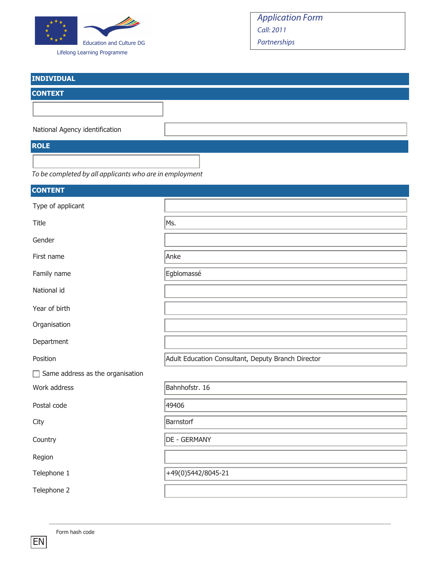

Lifelong Learning Programme

| <b>INDIVIDUAL</b>              |  |
|--------------------------------|--|
| <b>CONTEXT</b>                 |  |
|                                |  |
|                                |  |
| National Agency identification |  |
| <b>ROLE</b>                    |  |
|                                |  |



| <b>CONTENT</b>                          |                                                    |
|-----------------------------------------|----------------------------------------------------|
| Type of applicant                       |                                                    |
| Title                                   | Ms.                                                |
| Gender                                  |                                                    |
| First name                              | Anke                                               |
| Family name                             | Egblomassé                                         |
| National id                             |                                                    |
| Year of birth                           |                                                    |
| Organisation                            |                                                    |
| Department                              |                                                    |
| Position                                | Adult Education Consultant, Deputy Branch Director |
| $\Box$ Same address as the organisation |                                                    |
| Work address                            | Bahnhofstr. 16                                     |
| Postal code                             | 49406                                              |
| City                                    | Barnstorf                                          |
| Country                                 | <b>DE - GERMANY</b>                                |
| Region                                  |                                                    |
| Telephone 1                             | +49(0)5442/8045-21                                 |
| Telephone 2                             |                                                    |

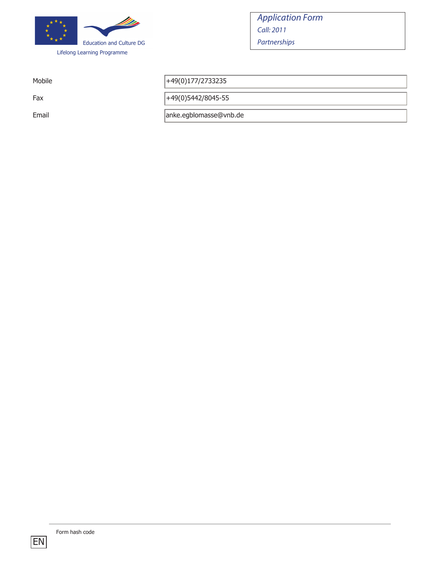

Mobile  $+49(0)177/2733235$ 

Fax  $+49(0)5442/8045-55$ 

Email anke.egblomasse@vnb.de

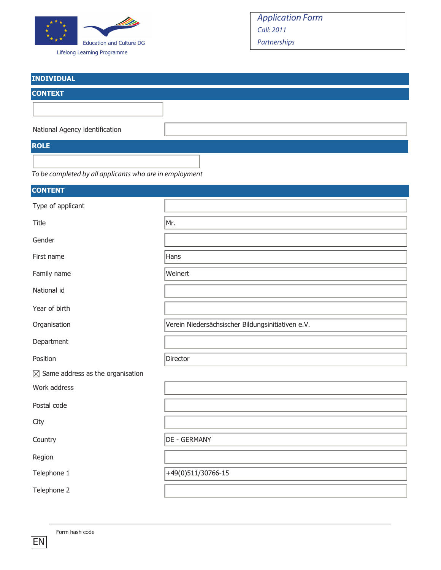

Lifelong Learning Programme

# Application Form Call: 2011 Partnerships

| <b>INDIVIDUAL</b>              |  |
|--------------------------------|--|
| <b>CONTEXT</b>                 |  |
|                                |  |
|                                |  |
| National Agency identification |  |
| <b>ROLE</b>                    |  |
|                                |  |

To be completed by all applicants who are in employment

| <b>CONTENT</b>                               |                                                   |
|----------------------------------------------|---------------------------------------------------|
| Type of applicant                            |                                                   |
| Title                                        | Mr.                                               |
| Gender                                       |                                                   |
| First name                                   | Hans                                              |
| Family name                                  | Weinert                                           |
| National id                                  |                                                   |
| Year of birth                                |                                                   |
| Organisation                                 | Verein Niedersächsischer Bildungsinitiativen e.V. |
| Department                                   |                                                   |
| Position                                     | Director                                          |
| $\boxtimes$ Same address as the organisation |                                                   |
| Work address                                 |                                                   |
| Postal code                                  |                                                   |
| City                                         |                                                   |
| Country                                      | DE - GERMANY                                      |
| Region                                       |                                                   |
| Telephone 1                                  | +49(0)511/30766-15                                |
| Telephone 2                                  |                                                   |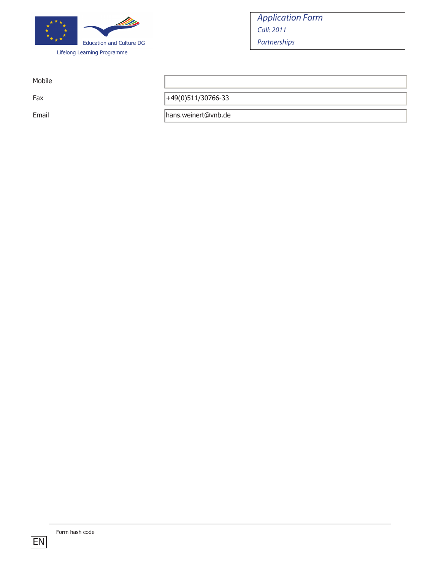

Mobile

Fax  $+49(0)511/30766-33$ 

Email **Email** hans.weinert@vnb.de

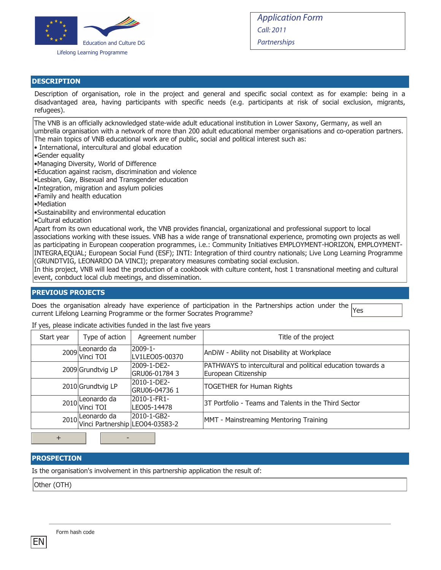

#### **DESCRIPTION**

Description of organisation, role in the project and general and specific social context as for example: being in a disadvantaged area, having participants with specific needs (e.g. participants at risk of social exclusion, migrants, refugees).

The VNB is an officially acknowledged state-wide adult educational institution in Lower Saxony, Germany, as well an umbrella organisation with a network of more than 200 adult educational member organisations and co-operation partners. The main topics of VNB educational work are of public, social and political interest such as:

- International, intercultural and global education
- •Gender equality
- •Managing Diversity, World of Difference
- •Education against racism, discrimination and violence
- •Lesbian, Gay, Bisexual and Transgender education
- •Integration, migration and asylum policies
- •Family and health education
- •Mediation
- •Sustainability and environmental education
- •Cultural education

Apart from its own educational work, the VNB provides financial, organizational and professional support to local associations working with these issues. VNB has a wide range of transnational experience, promoting own projects as well as participating in European cooperation programmes, i.e.: Community Initiatives EMPLOYMENT-HORIZON, EMPLOYMENT-INTEGRA,EQUAL; European Social Fund (ESF); INTI: Integration of third country nationals; Live Long Learning Programme (GRUNDTVIG, LEONARDO DA VINCI); preparatory measures combating social exclusion.

In this project, VNB will lead the production of a cookbook with culture content, host 1 transnational meeting and cultural event, conbduct local club meetings, and dissemination.

#### **PREVIOUS PROJECTS**

Does the organisation already have experience of participation in the Partnerships action under the current Lifelong Learning Programme or the former Socrates Programme? Yes

If yes, please indicate activities funded in the last five years

| Start year | Type of action                                                | Agreement number               | Title of the project                                                                |
|------------|---------------------------------------------------------------|--------------------------------|-------------------------------------------------------------------------------------|
|            | 2009 Leonardo da                                              | $2009 - 1 -$<br>LV1LEO05-00370 | AnDiW - Ability not Disability at Workplace                                         |
|            | 2009 Grundtvig LP                                             | 2009-1-DE2-<br>GRU06-01784 3   | PATHWAYS to intercultural and political education towards a<br>European Citizenship |
|            | 2010 Grundtvig LP                                             | 2010-1-DE2-<br>GRU06-04736 1   | <b>TOGETHER for Human Rights</b>                                                    |
|            | 2010 Leonardo da                                              | 2010-1-FR1-<br>LEO05-14478     | 3T Portfolio - Teams and Talents in the Third Sector                                |
|            | 2010-1-GB2-<br>2010-1-GB2-<br>Vinci Partnership LEO04-03583-2 |                                | MMT - Mainstreaming Mentoring Training                                              |

+ -

#### **PROSPECTION**

Is the organisation's involvement in this partnership application the result of:

Other (OTH)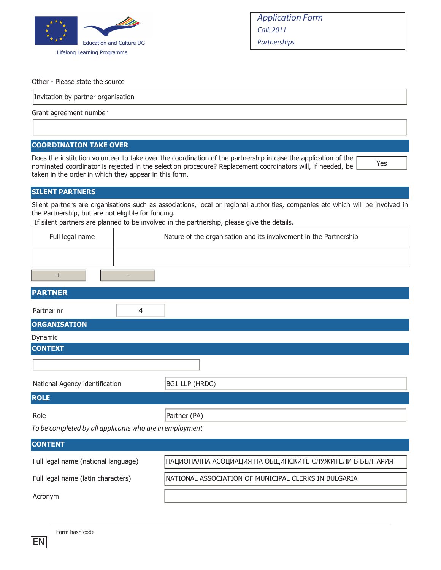

Yes

Other - Please state the source

Invitation by partner organisation

Grant agreement number

#### **COORDINATION TAKE OVER**

Does the institution volunteer to take over the coordination of the partnership in case the application of the nominated coordinator is rejected in the selection procedure? Replacement coordinators will, if needed, be taken in the order in which they appear in this form.

#### **SILENT PARTNERS**

Silent partners are organisations such as associations, local or regional authorities, companies etc which will be involved in the Partnership, but are not eligible for funding.

If silent partners are planned to be involved in the partnership, please give the details.

| Full legal name | Nature of the organisation and its involvement in the Partnership |
|-----------------|-------------------------------------------------------------------|
|                 |                                                                   |
|                 |                                                                   |

| <b>PARTNER</b>                                          |                |
|---------------------------------------------------------|----------------|
| 4<br>Partner nr                                         |                |
| <b>ORGANISATION</b>                                     |                |
| Dynamic                                                 |                |
| <b>CONTEXT</b>                                          |                |
|                                                         |                |
| National Agency identification                          | BG1 LLP (HRDC) |
| <b>ROLE</b>                                             |                |
| Role                                                    | Partner (PA)   |
| To be completed by all applicants who are in employment |                |
| <b>CONTENT</b>                                          |                |

Full legal name (national language) НАЦИОНАЛНА АСОЦИАЦИЯ НА ОБЩИНСКИТЕ СЛУЖИТЕЛИ В БЪЛГАРИЯ Full legal name (latin characters) | NATIONAL ASSOCIATION OF MUNICIPAL CLERKS IN BULGARIA Acronym

|  | Form hash code |  |  |
|--|----------------|--|--|
|--|----------------|--|--|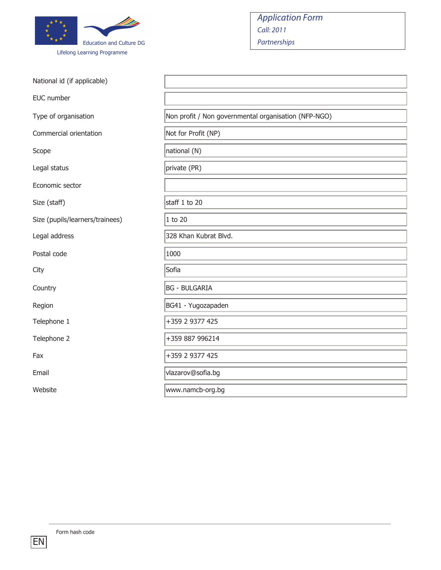

| <b>Application Form</b> |
|-------------------------|
| Call:2011               |
| Partnerships            |

| National id (if applicable)     |                                                      |
|---------------------------------|------------------------------------------------------|
| EUC number                      |                                                      |
| Type of organisation            | Non profit / Non governmental organisation (NFP-NGO) |
| Commercial orientation          | Not for Profit (NP)                                  |
| Scope                           | national (N)                                         |
| Legal status                    | private (PR)                                         |
| Economic sector                 |                                                      |
| Size (staff)                    | staff 1 to 20                                        |
| Size (pupils/learners/trainees) | 1 to 20                                              |
| Legal address                   | 328 Khan Kubrat Blvd.                                |
| Postal code                     | 1000                                                 |
| City                            | Sofia                                                |
| Country                         | <b>BG - BULGARIA</b>                                 |
| Region                          | BG41 - Yugozapaden                                   |
| Telephone 1                     | +359 2 9377 425                                      |
| Telephone 2                     | +359 887 996214                                      |
| Fax                             | +359 2 9377 425                                      |
| Email                           | vlazarov@sofia.bg                                    |
| Website                         | www.namcb-org.bg                                     |

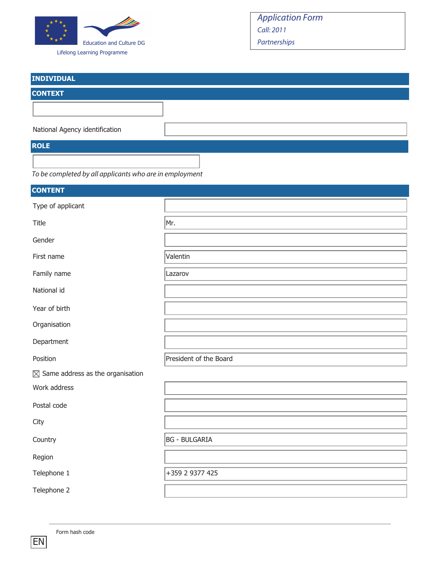

Lifelong Learning Programme

# Application Form Call: 2011 Partnerships

| <b>INDIVIDUAL</b>              |  |
|--------------------------------|--|
| <b>CONTEXT</b>                 |  |
|                                |  |
| National Agency identification |  |
| <b>ROLE</b>                    |  |
|                                |  |

To be completed by all applicants who are in employment

| <b>CONTENT</b>                               |                        |
|----------------------------------------------|------------------------|
| Type of applicant                            |                        |
| Title                                        | Mr.                    |
| Gender                                       |                        |
| First name                                   | Valentin               |
| Family name                                  | Lazarov                |
| National id                                  |                        |
| Year of birth                                |                        |
| Organisation                                 |                        |
| Department                                   |                        |
| Position                                     | President of the Board |
| $\boxtimes$ Same address as the organisation |                        |
| Work address                                 |                        |
| Postal code                                  |                        |
| City                                         |                        |
| Country                                      | <b>BG - BULGARIA</b>   |
| Region                                       |                        |
| Telephone 1                                  | +359 2 9377 425        |
| Telephone 2                                  |                        |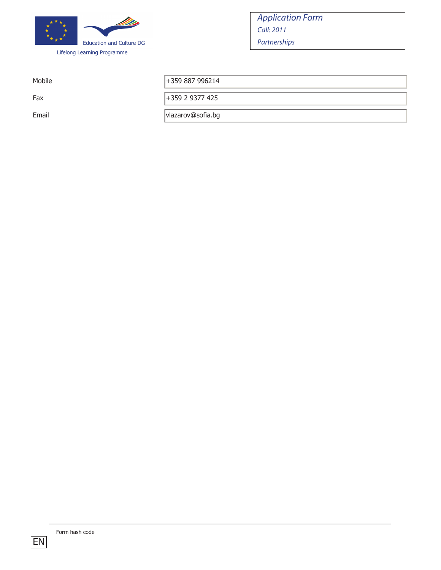

Mobile  $|+359\,887\,996214$ 

Fax +359 2 9377 425

Email vlazarov@sofia.bg

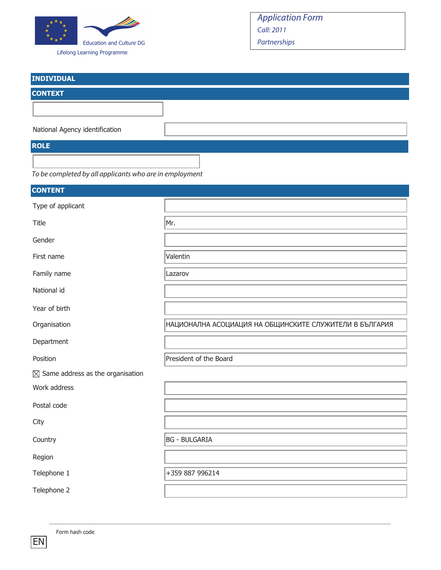

Lifelong Learning Programme

# Application Form Call: 2011 Partnerships

| <b>INDIVIDUAL</b>              |  |
|--------------------------------|--|
| <b>CONTEXT</b>                 |  |
|                                |  |
|                                |  |
| National Agency identification |  |
| <b>ROLE</b>                    |  |

To be completed by all applicants who are in employment

| <b>CONTENT</b>                               |                                                         |
|----------------------------------------------|---------------------------------------------------------|
| Type of applicant                            |                                                         |
| Title                                        | Mr.                                                     |
| Gender                                       |                                                         |
| First name                                   | Valentin                                                |
| Family name                                  | Lazarov                                                 |
| National id                                  |                                                         |
| Year of birth                                |                                                         |
| Organisation                                 | НАЦИОНАЛНА АСОЦИАЦИЯ НА ОБЩИНСКИТЕ СЛУЖИТЕЛИ В БЪЛГАРИЯ |
| Department                                   |                                                         |
| Position                                     | President of the Board                                  |
| $\boxtimes$ Same address as the organisation |                                                         |
| Work address                                 |                                                         |
| Postal code                                  |                                                         |
| City                                         |                                                         |
| Country                                      | <b>BG - BULGARIA</b>                                    |
| Region                                       |                                                         |
| Telephone 1                                  | +359 887 996214                                         |
| Telephone 2                                  |                                                         |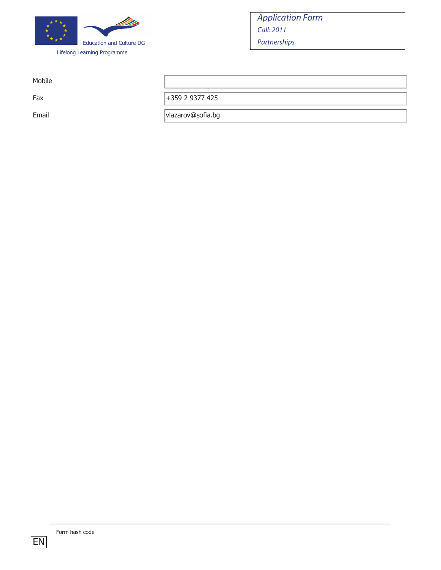

Mobile

Fax +359 2 9377 425

Email vlazarov@sofia.bg

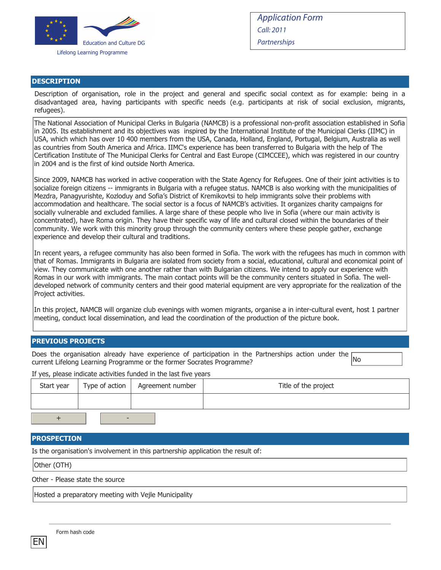

#### **DESCRIPTION**

Description of organisation, role in the project and general and specific social context as for example: being in a disadvantaged area, having participants with specific needs (e.g. participants at risk of social exclusion, migrants, refugees).

The National Association of Municipal Clerks in Bulgaria (NAMCB) is a professional non-profit association established in Sofia in 2005. Its establishment and its objectives was inspired by the International Institute of the Municipal Clerks (IIMC) in USA, which which has over 10 400 members from the USA, Canada, Holland, England, Portugal, Belgium, Australia as well as countries from South America and Africa. IIMC's experience has been transferred to Bulgaria with the help of The Certification Institute of The Municipal Clerks for Central and East Europe (CIMCCEE), which was registered in our country in 2004 and is the first of kind outside North America.

Since 2009, NAMCB has worked in active cooperation with the State Agency for Refugees. One of their joint activities is to socialize foreign citizens -- immigrants in Bulgaria with a refugee status. NAMCB is also working with the municipalities of Mezdra, Panagyurishte, Kozloduy and Sofia's District of Kremikovtsi to help immigrants solve their problems with accommodation and healthcare. The social sector is a focus of NAMCB's activities. It organizes charity campaigns for socially vulnerable and excluded families. A large share of these people who live in Sofia (where our main activity is concentrated), have Roma origin. They have their specific way of life and cultural closed within the boundaries of their community. We work with this minority group through the community centers where these people gather, exchange experience and develop their cultural and traditions.

In recent years, a refugee community has also been formed in Sofia. The work with the refugees has much in common with that of Romas. Immigrants in Bulgaria are isolated from society from a social, educational, cultural and economical point of view. They communicate with one another rather than with Bulgarian citizens. We intend to apply our experience with Romas in our work with immigrants. The main contact points will be the community centers situated in Sofia. The welldeveloped network of community centers and their good material equipment are very appropriate for the realization of the Project activities.

In this project, NAMCB will organize club evenings with women migrants, organise a in inter-cultural event, host 1 partner meeting, conduct local dissemination, and lead the coordination of the production of the picture book.

#### **PREVIOUS PROJECTS**

Does the organisation already have experience of participation in the Partnerships action under the  $\overline{\text{No}}$ current Lifelong Learning Programme or the former Socrates Programme?

If yes, please indicate activities funded in the last five years Start year Type of action Agreement number Title of the project + -

#### **PROSPECTION**

Is the organisation's involvement in this partnership application the result of:

Other (OTH)

Other - Please state the source

Hosted a preparatory meeting with Vejle Municipality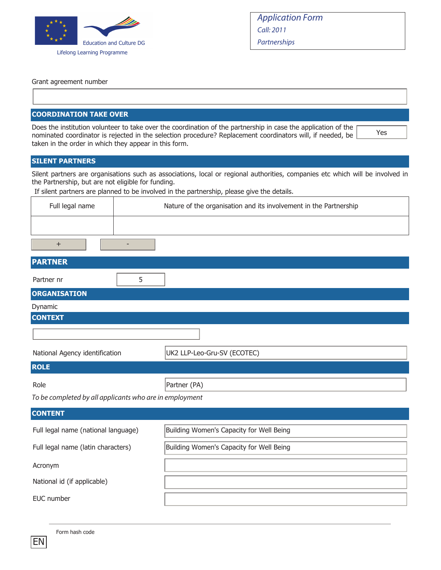

| <b>Application Form</b> |
|-------------------------|
| Call: 2011              |
| Partnerships            |

Yes

Grant agreement number

### **COORDINATION TAKE OVER**

Does the institution volunteer to take over the coordination of the partnership in case the application of the nominated coordinator is rejected in the selection procedure? Replacement coordinators will, if needed, be taken in the order in which they appear in this form.

### **SILENT PARTNERS**

Silent partners are organisations such as associations, local or regional authorities, companies etc which will be involved in the Partnership, but are not eligible for funding.

If silent partners are planned to be involved in the partnership, please give the details.

| Full legal name | Nature of the organisation and its involvement in the Partnership |
|-----------------|-------------------------------------------------------------------|
|                 |                                                                   |
|                 |                                                                   |

### **PARTNER**

| Partner nr                                              | 5 |                                          |  |
|---------------------------------------------------------|---|------------------------------------------|--|
| <b>ORGANISATION</b>                                     |   |                                          |  |
| Dynamic                                                 |   |                                          |  |
| <b>CONTEXT</b>                                          |   |                                          |  |
|                                                         |   |                                          |  |
| National Agency identification                          |   | UK2 LLP-Leo-Gru-SV (ECOTEC)              |  |
| <b>ROLE</b>                                             |   |                                          |  |
| Role                                                    |   | Partner (PA)                             |  |
| To be completed by all applicants who are in employment |   |                                          |  |
| <b>CONTENT</b>                                          |   |                                          |  |
| Full legal name (national language)                     |   | Building Women's Capacity for Well Being |  |
| Full legal name (latin characters)                      |   | Building Women's Capacity for Well Being |  |
| Acronym                                                 |   |                                          |  |
| National id (if applicable)                             |   |                                          |  |
| EUC number                                              |   |                                          |  |

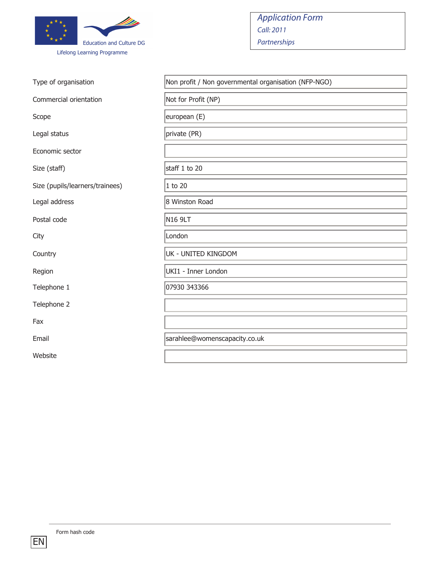

| Type of organisation            | Non profit / Non governmental organisation (NFP-NGO) |
|---------------------------------|------------------------------------------------------|
| Commercial orientation          | Not for Profit (NP)                                  |
| Scope                           | european (E)                                         |
| Legal status                    | private (PR)                                         |
| Economic sector                 |                                                      |
| Size (staff)                    | staff 1 to 20                                        |
| Size (pupils/learners/trainees) | 1 to 20                                              |
| Legal address                   | 8 Winston Road                                       |
| Postal code                     | N <sub>16</sub> 9LT                                  |
| City                            | London                                               |
| Country                         | UK - UNITED KINGDOM                                  |
| Region                          | UKI1 - Inner London                                  |
| Telephone 1                     | 07930 343366                                         |
| Telephone 2                     |                                                      |
| Fax                             |                                                      |
| Email                           | sarahlee@womenscapacity.co.uk                        |
| Website                         |                                                      |
|                                 |                                                      |

Application Form

Call: 2011 Partnerships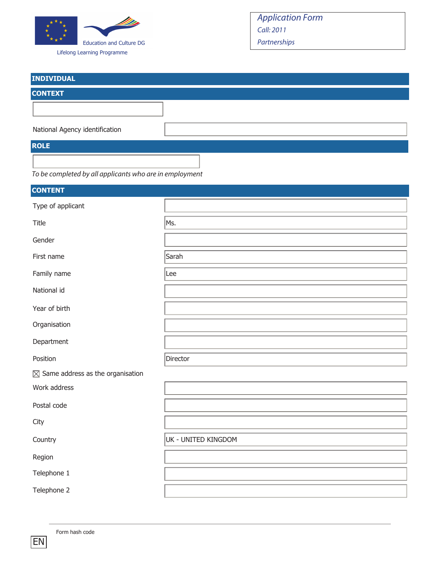

Lifelong Learning Programme

| <b>INDIVIDUAL</b>              |  |
|--------------------------------|--|
| <b>CONTEXT</b>                 |  |
|                                |  |
| National Agency identification |  |
| <b>ROLE</b>                    |  |
|                                |  |

|  |  | To be completed by all applicants who are in employment |  |  |
|--|--|---------------------------------------------------------|--|--|
|--|--|---------------------------------------------------------|--|--|

| <b>CONTENT</b>                               |                     |
|----------------------------------------------|---------------------|
| Type of applicant                            |                     |
| Title                                        | Ms.                 |
| Gender                                       |                     |
| First name                                   | Sarah               |
| Family name                                  | Lee                 |
| National id                                  |                     |
| Year of birth                                |                     |
| Organisation                                 |                     |
| Department                                   |                     |
| Position                                     | Director            |
| $\boxtimes$ Same address as the organisation |                     |
| Work address                                 |                     |
| Postal code                                  |                     |
| City                                         |                     |
| Country                                      | UK - UNITED KINGDOM |
| Region                                       |                     |
| Telephone 1                                  |                     |
| Telephone 2                                  |                     |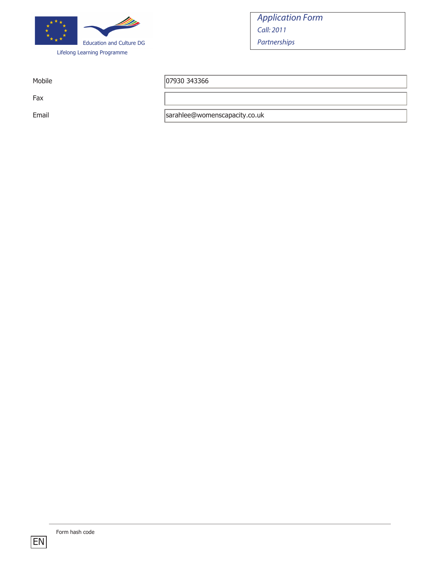

Fax

Mobile 07930 343366

Email sarahlee@womenscapacity.co.uk

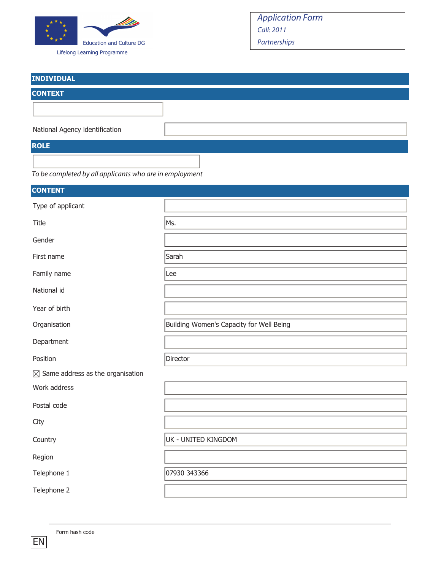

Lifelong Learning Programme

# Application Form Call: 2011 Partnerships

| <b>INDIVIDUAL</b>              |  |
|--------------------------------|--|
| <b>CONTEXT</b>                 |  |
|                                |  |
|                                |  |
| National Agency identification |  |
| <b>ROLE</b>                    |  |
|                                |  |

To be completed by all applicants who are in employment

| <b>CONTENT</b>                               |                                          |
|----------------------------------------------|------------------------------------------|
| Type of applicant                            |                                          |
| Title                                        | Ms.                                      |
| Gender                                       |                                          |
| First name                                   | Sarah                                    |
| Family name                                  | Lee                                      |
| National id                                  |                                          |
| Year of birth                                |                                          |
| Organisation                                 | Building Women's Capacity for Well Being |
| Department                                   |                                          |
| Position                                     | Director                                 |
| $\boxtimes$ Same address as the organisation |                                          |
| Work address                                 |                                          |
| Postal code                                  |                                          |
| City                                         |                                          |
| Country                                      | UK - UNITED KINGDOM                      |
| Region                                       |                                          |
| Telephone 1                                  | 07930 343366                             |
| Telephone 2                                  |                                          |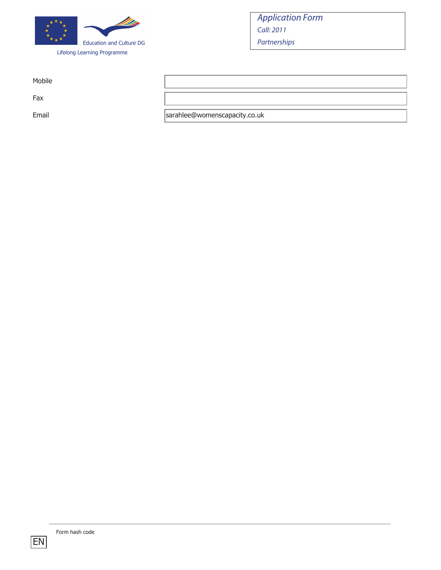

Mobile

Fax

Email sarahlee@womenscapacity.co.uk

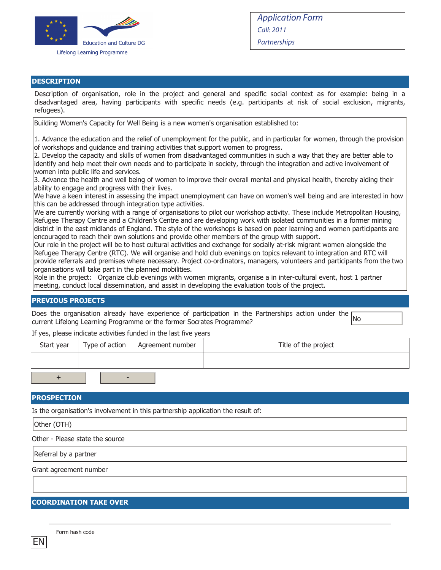

#### **DESCRIPTION**

Description of organisation, role in the project and general and specific social context as for example: being in a disadvantaged area, having participants with specific needs (e.g. participants at risk of social exclusion, migrants, refugees).

Building Women's Capacity for Well Being is a new women's organisation established to:

1. Advance the education and the relief of unemployment for the public, and in particular for women, through the provision of workshops and guidance and training activities that support women to progress.

2. Develop the capacity and skills of women from disadvantaged communities in such a way that they are better able to identify and help meet their own needs and to participate in society, through the integration and active involvement of women into public life and services.

3. Advance the health and well being of women to improve their overall mental and physical health, thereby aiding their ability to engage and progress with their lives.

We have a keen interest in assessing the impact unemployment can have on women's well being and are interested in how this can be addressed through integration type activities.

We are currently working with a range of organisations to pilot our workshop activity. These include Metropolitan Housing, Refugee Therapy Centre and a Children's Centre and are developing work with isolated communities in a former mining district in the east midlands of England. The style of the workshops is based on peer learning and women participants are encouraged to reach their own solutions and provide other members of the group with support.

Our role in the project will be to host cultural activities and exchange for socially at-risk migrant women alongside the Refugee Therapy Centre (RTC). We will organise and hold club evenings on topics relevant to integration and RTC will provide referrals and premises where necessary. Project co-ordinators, managers, volunteers and participants from the two organisations will take part in the planned mobilities.

Role in the project: Organize club evenings with women migrants, organise a in inter-cultural event, host 1 partner meeting, conduct local dissemination, and assist in developing the evaluation tools of the project.

#### **PREVIOUS PROJECTS**

Does the organisation already have experience of participation in the Partnerships action under the No<br>current Lifelong Learning Programme or the former Socrates Programme?

If yes, please indicate activities funded in the last five years

| Start year | Type of action $\parallel$ | Agreement number | Title of the project |
|------------|----------------------------|------------------|----------------------|
|            |                            |                  |                      |
|            |                            |                  |                      |

#### **PROSPECTION**

Is the organisation's involvement in this partnership application the result of:

Other (OTH)

Other - Please state the source

Referral by a partner

Grant agreement number

#### **COORDINATION TAKE OVER**

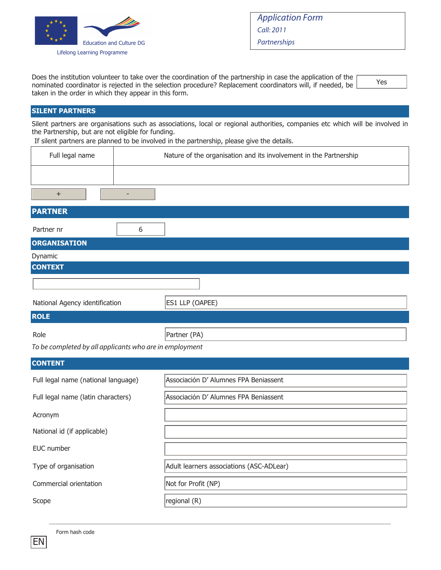

Yes

Does the institution volunteer to take over the coordination of the partnership in case the application of the nominated coordinator is rejected in the selection procedure? Replacement coordinators will, if needed, be taken in the order in which they appear in this form.

**SILENT PARTNERS**

Silent partners are organisations such as associations, local or regional authorities, companies etc which will be involved in the Partnership, but are not eligible for funding.

If silent partners are planned to be involved in the partnership, please give the details.

| Full legal name                                         |    | Nature of the organisation and its involvement in the Partnership |
|---------------------------------------------------------|----|-------------------------------------------------------------------|
|                                                         |    |                                                                   |
| $\ddot{}$                                               | ÷, |                                                                   |
| <b>PARTNER</b>                                          |    |                                                                   |
| Partner nr                                              | 6  |                                                                   |
| <b>ORGANISATION</b>                                     |    |                                                                   |
| Dynamic                                                 |    |                                                                   |
| <b>CONTEXT</b>                                          |    |                                                                   |
|                                                         |    |                                                                   |
| National Agency identification                          |    | ES1 LLP (OAPEE)                                                   |
| <b>ROLE</b>                                             |    |                                                                   |
| Role                                                    |    | Partner (PA)                                                      |
| To be completed by all applicants who are in employment |    |                                                                   |
| <b>CONTENT</b>                                          |    |                                                                   |
| Full legal name (national language)                     |    | Associación D' Alumnes FPA Beniassent                             |
| Full legal name (latin characters)                      |    | Associación D' Alumnes FPA Beniassent                             |
| Acronym                                                 |    |                                                                   |
| National id (if applicable)                             |    |                                                                   |
| EUC number                                              |    |                                                                   |
| Type of organisation                                    |    | Adult learners associations (ASC-ADLear)                          |
| Commercial orientation                                  |    | Not for Profit (NP)                                               |
| Scope                                                   |    | regional (R)                                                      |

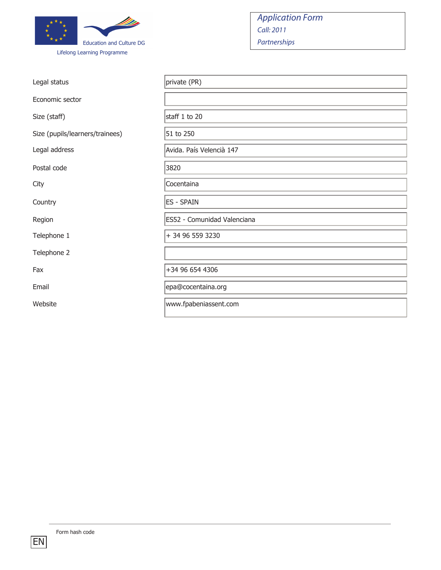

| Legal status                    | private (PR)                |
|---------------------------------|-----------------------------|
| Economic sector                 |                             |
| Size (staff)                    | staff 1 to 20               |
| Size (pupils/learners/trainees) | 51 to 250                   |
| Legal address                   | Avida. País Velencià 147    |
| Postal code                     | 3820                        |
| City                            | Cocentaina                  |
| Country                         | <b>ES - SPAIN</b>           |
| Region                          | ES52 - Comunidad Valenciana |
| Telephone 1                     | + 34 96 559 3230            |
| Telephone 2                     |                             |
| Fax                             | +34 96 654 4306             |
| Email                           | epa@cocentaina.org          |
| Website                         | www.fpabeniassent.com       |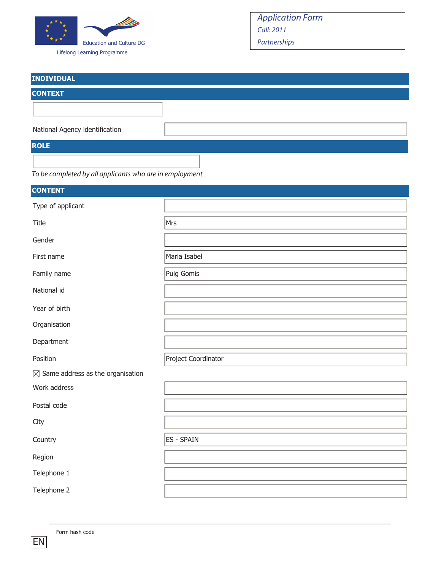

Lifelong Learning Programme

# Application Form Call: 2011 Partnerships

| <b>INDIVIDUAL</b>              |  |
|--------------------------------|--|
| <b>CONTEXT</b>                 |  |
|                                |  |
| National Agency identification |  |
| <b>ROLE</b>                    |  |
|                                |  |

To be completed by all applicants who are in employment

| <b>CONTENT</b>                               |                     |
|----------------------------------------------|---------------------|
| Type of applicant                            |                     |
| Title                                        | Mrs                 |
| Gender                                       |                     |
| First name                                   | Maria Isabel        |
| Family name                                  | Puig Gomis          |
| National id                                  |                     |
| Year of birth                                |                     |
| Organisation                                 |                     |
| Department                                   |                     |
| Position                                     | Project Coordinator |
| $\boxtimes$ Same address as the organisation |                     |
| Work address                                 |                     |
| Postal code                                  |                     |
| City                                         |                     |
| Country                                      | <b>ES - SPAIN</b>   |
| Region                                       |                     |
| Telephone 1                                  |                     |
| Telephone 2                                  |                     |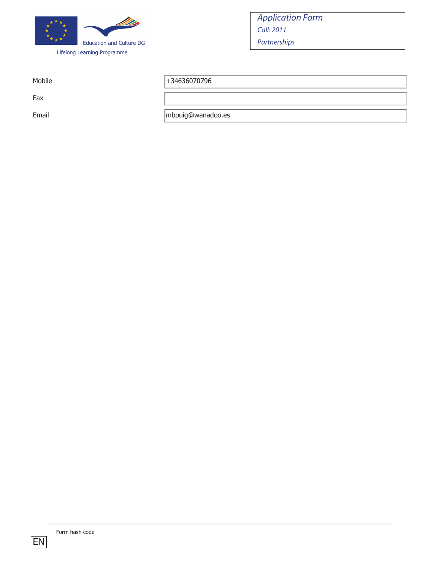

Fax

Mobile  $+34636070796$ 

Email mbpuig@wanadoo.es

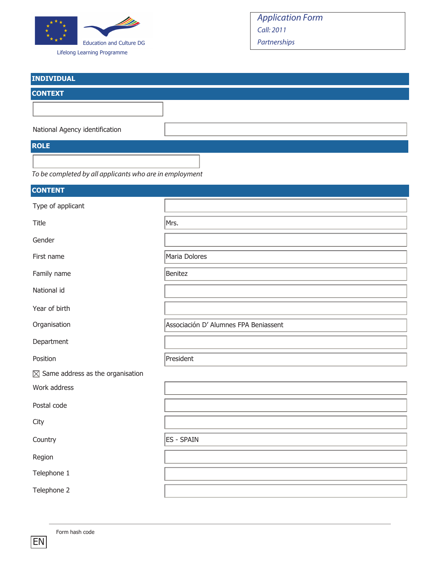

Lifelong Learning Programme

| <b>INDIVIDUAL</b>              |  |
|--------------------------------|--|
| <b>CONTEXT</b>                 |  |
|                                |  |
| National Agency identification |  |
| <b>ROLE</b>                    |  |
|                                |  |

|  |  | To be completed by all applicants who are in employment |  |  |
|--|--|---------------------------------------------------------|--|--|
|--|--|---------------------------------------------------------|--|--|

| <b>CONTENT</b>                               |                                       |
|----------------------------------------------|---------------------------------------|
| Type of applicant                            |                                       |
| Title                                        | Mrs.                                  |
| Gender                                       |                                       |
| First name                                   | Maria Dolores                         |
| Family name                                  | Benitez                               |
| National id                                  |                                       |
| Year of birth                                |                                       |
| Organisation                                 | Associación D' Alumnes FPA Beniassent |
| Department                                   |                                       |
| Position                                     | President                             |
| $\boxtimes$ Same address as the organisation |                                       |
| Work address                                 |                                       |
| Postal code                                  |                                       |
| City                                         |                                       |
| Country                                      | <b>ES - SPAIN</b>                     |
| Region                                       |                                       |
| Telephone 1                                  |                                       |
| Telephone 2                                  |                                       |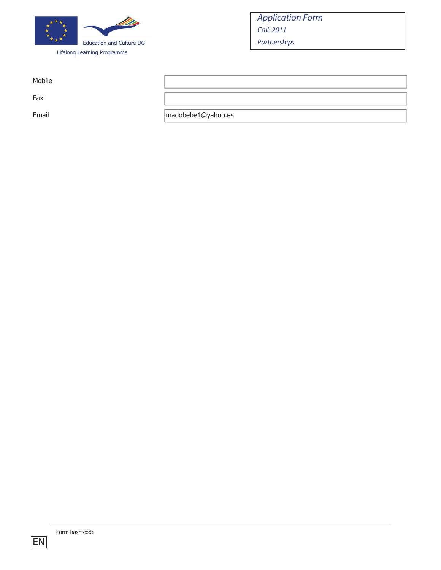

Mobile

Fax

Email madobebe1@yahoo.es

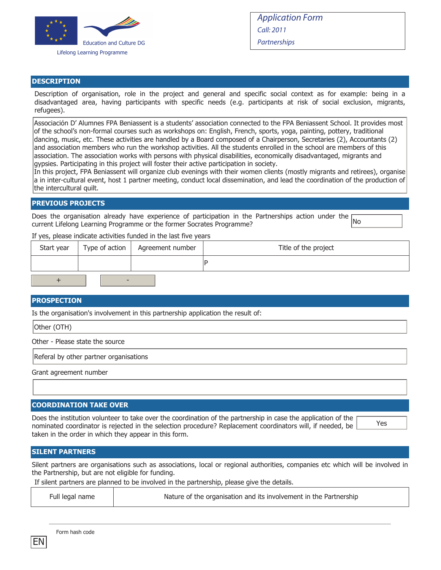

Yes

#### **DESCRIPTION**

Description of organisation, role in the project and general and specific social context as for example: being in a disadvantaged area, having participants with specific needs (e.g. participants at risk of social exclusion, migrants, refugees).

Associación D' Alumnes FPA Beniassent is a students' association connected to the FPA Beniassent School. It provides most of the school's non-formal courses such as workshops on: English, French, sports, yoga, painting, pottery, traditional dancing, music, etc. These activities are handled by a Board composed of a Chairperson, Secretaries (2), Accountants (2) and association members who run the workshop activities. All the students enrolled in the school are members of this association. The association works with persons with physical disabilities, economically disadvantaged, migrants and gypsies. Participating in this project will foster their active participation in society.

In this project, FPA Beniassent will organize club evenings with their women clients (mostly migrants and retirees), organise a in inter-cultural event, host 1 partner meeting, conduct local dissemination, and lead the coordination of the production of the intercultural quilt.

#### **PREVIOUS PROJECTS**

Does the organisation already have experience of participation in the Partnerships action under the  $\overline{\text{No}}$ current Lifelong Learning Programme or the former Socrates Programme?

If yes, please indicate activities funded in the last five years

| Start year | Type of action   Agreement number | Title of the project |
|------------|-----------------------------------|----------------------|
|            |                                   |                      |
|            |                                   |                      |

#### **PROSPECTION**

Is the organisation's involvement in this partnership application the result of:

Other (OTH)

Other - Please state the source

Referal by other partner organisations

Grant agreement number

#### **COORDINATION TAKE OVER**

Does the institution volunteer to take over the coordination of the partnership in case the application of the nominated coordinator is rejected in the selection procedure? Replacement coordinators will, if needed, be taken in the order in which they appear in this form.

#### **SILENT PARTNERS**

Silent partners are organisations such as associations, local or regional authorities, companies etc which will be involved in the Partnership, but are not eligible for funding.

If silent partners are planned to be involved in the partnership, please give the details.

| Full legal name | Nature of the organisation and its involvement in the Partnership |
|-----------------|-------------------------------------------------------------------|
|-----------------|-------------------------------------------------------------------|

|  | Form hash code |
|--|----------------|
|--|----------------|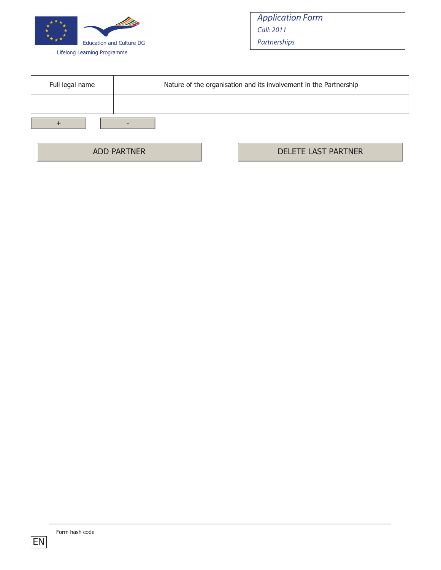

| Full legal name | Nature of the organisation and its involvement in the Partnership |
|-----------------|-------------------------------------------------------------------|
|                 |                                                                   |
|                 |                                                                   |

ADD PARTNER NEWSLETE LAST PARTNER

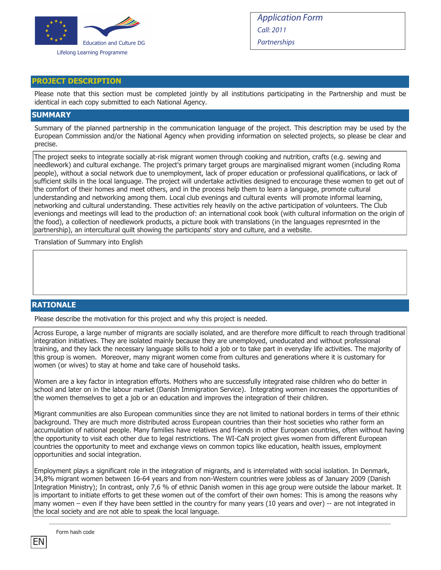

#### **PROJECT DESCRIPTION**

Please note that this section must be completed jointly by all institutions participating in the Partnership and must be identical in each copy submitted to each National Agency.

#### **SUMMARY**

Summary of the planned partnership in the communication language of the project. This description may be used by the European Commission and/or the National Agency when providing information on selected projects, so please be clear and precise.

The project seeks to integrate socially at-risk migrant women through cooking and nutrition, crafts (e.g. sewing and needlework) and cultural exchange. The project's primary target groups are marginalised migrant women (including Roma people), without a social network due to unemployment, lack of proper education or professional qualifications, or lack of sufficient skills in the local language. The project will undertake activities designed to encourage these women to get out of the comfort of their homes and meet others, and in the process help them to learn a language, promote cultural understanding and networking among them. Local club evenings and cultural events will promote informal learning, networking and cultural understanding. These activities rely heavily on the active participation of volunteers. The Club eveniongs and meetings will lead to the production of: an international cook book (with cultural information on the origin of the food), a collection of needlework products, a picture book with translations (in the languages represrnted in the partnership), an intercultural quilt showing the participants' story and culture, and a website.

Translation of Summary into English

#### **RATIONALE**

Please describe the motivation for this project and why this project is needed.

Across Europe, a large number of migrants are socially isolated, and are therefore more difficult to reach through traditional integration initiatives. They are isolated mainly because they are unemployed, uneducated and without professional training, and they lack the necessary language skills to hold a job or to take part in everyday life activities. The majority of this group is women. Moreover, many migrant women come from cultures and generations where it is customary for women (or wives) to stay at home and take care of household tasks.

Women are a key factor in integration efforts. Mothers who are successfully integrated raise children who do better in school and later on in the labour market (Danish Immigration Service). Integrating women increases the opportunities of the women themselves to get a job or an education and improves the integration of their children.

Migrant communities are also European communities since they are not limited to national borders in terms of their ethnic background. They are much more distributed across European countries than their host societies who rather form an accumulation of national people. Many families have relatives and friends in other European countries, often without having the opportunity to visit each other due to legal restrictions. The WI-CaN project gives women from different European countries the opportunity to meet and exchange views on common topics like education, health issues, employment opportunities and social integration.

Employment plays a significant role in the integration of migrants, and is interrelated with social isolation. In Denmark, 34,8% migrant women between 16-64 years and from non-Western countries were jobless as of January 2009 (Danish Integration Ministry); In contrast, only 7,6 % of ethnic Danish women in this age group were outside the labour market. It is important to initiate efforts to get these women out of the comfort of their own homes: This is among the reasons why many women – even if they have been settled in the country for many years (10 years and over) -- are not integrated in the local society and are not able to speak the local language.

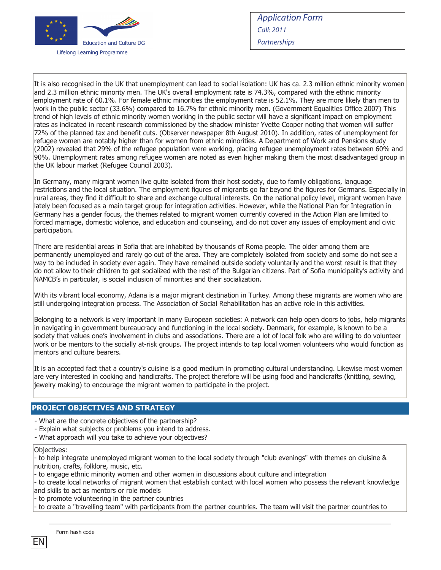

It is also recognised in the UK that unemployment can lead to social isolation: UK has ca. 2.3 million ethnic minority women and 2.3 million ethnic minority men. The UK's overall employment rate is 74.3%, compared with the ethnic minority employment rate of 60.1%. For female ethnic minorities the employment rate is 52.1%. They are more likely than men to work in the public sector (33.6%) compared to 16.7% for ethnic minority men. (Government Equalities Office 2007) This trend of high levels of ethnic minority women working in the public sector will have a significant impact on employment rates as indicated in recent research commissioned by the shadow minister Yvette Cooper noting that women will suffer 72% of the planned tax and benefit cuts. (Observer newspaper 8th August 2010). In addition, rates of unemployment for refugee women are notably higher than for women from ethnic minorities. A Department of Work and Pensions study (2002) revealed that 29% of the refugee population were working, placing refugee unemployment rates between 60% and 90%. Unemployment rates among refugee women are noted as even higher making them the most disadvantaged group in the UK labour market (Refugee Council 2003).

In Germany, many migrant women live quite isolated from their host society, due to family obligations, language restrictions and the local situation. The employment figures of migrants go far beyond the figures for Germans. Especially in rural areas, they find it difficult to share and exchange cultural interests. On the national policy level, migrant women have lately been focused as a main target group for integration activities. However, while the National Plan for Integration in Germany has a gender focus, the themes related to migrant women currently covered in the Action Plan are limited to forced marriage, domestic violence, and education and counseling, and do not cover any issues of employment and civic participation.

There are residential areas in Sofia that are inhabited by thousands of Roma people. The older among them are permanently unemployed and rarely go out of the area. They are completely isolated from society and some do not see a way to be included in society ever again. They have remained outside society voluntarily and the worst result is that they do not allow to their children to get socialized with the rest of the Bulgarian citizens. Part of Sofia municipality's activity and NAMCB's in particular, is social inclusion of minorities and their socialization.

With its vibrant local economy, Adana is a major migrant destination in Turkey. Among these migrants are women who are still undergoing integration process. The Association of Social Rehabilitation has an active role in this activities.

Belonging to a network is very important in many European societies: A network can help open doors to jobs, help migrants in navigating in government bureaucracy and functioning in the local society. Denmark, for example, is known to be a society that values one's involvement in clubs and associations. There are a lot of local folk who are willing to do volunteer work or be mentors to the socially at-risk groups. The project intends to tap local women volunteers who would function as mentors and culture bearers.

It is an accepted fact that a country's cuisine is a good medium in promoting cultural understanding. Likewise most women are very interested in cooking and handicrafts. The project therefore will be using food and handicrafts (knitting, sewing, jewelry making) to encourage the migrant women to participate in the project.

#### **PROJECT OBJECTIVES AND STRATEGY**

- What are the concrete objectives of the partnership?
- Explain what subjects or problems you intend to address.
- What approach will you take to achieve your objectives?

#### Objectives:

- to help integrate unemployed migrant women to the local society through "club evenings" with themes on ciuisine & nutrition, crafts, folklore, music, etc.

- to engage ethnic minority women and other women in discussions about culture and integration

- to create local networks of migrant women that establish contact with local women who possess the relevant knowledge and skills to act as mentors or role models

to promote volunteering in the partner countries

to create a "travelling team" with participants from the partner countries. The team will visit the partner countries to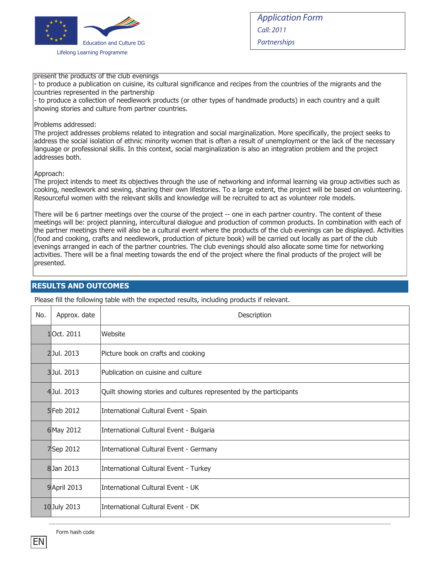

#### present the products of the club evenings

- to produce a publication on cuisine, its cultural significance and recipes from the countries of the migrants and the countries represented in the partnership

- to produce a collection of needlework products (or other types of handmade products) in each country and a quilt showing stories and culture from partner countries.

#### Problems addressed:

The project addresses problems related to integration and social marginalization. More specifically, the project seeks to address the social isolation of ethnic minority women that is often a result of unemployment or the lack of the necessary language or professional skills. In this context, social marginalization is also an integration problem and the project addresses both.

#### Approach:

The project intends to meet its objectives through the use of networking and informal learning via group activities such as cooking, needlework and sewing, sharing their own lifestories. To a large extent, the project will be based on volunteering. Resourceful women with the relevant skills and knowledge will be recruited to act as volunteer role models.

There will be 6 partner meetings over the course of the project -- one in each partner country. The content of these meetings will be: project planning, intercultural dialogue and production of common products. In combination with each of the partner meetings there will also be a cultural event where the products of the club evenings can be displayed. Activities (food and cooking, crafts and needlework, production of picture book) will be carried out locally as part of the club evenings arranged in each of the partner countries. The club evenings should also allocate some time for networking activities. There will be a final meeting towards the end of the project where the final products of the project will be presented.

#### **RESULTS AND OUTCOMES**

Please fill the following table with the expected results, including products if relevant.

| No. | Approx. date      | Description                                                        |
|-----|-------------------|--------------------------------------------------------------------|
|     | 10ct. 2011        | Website                                                            |
|     | 2Jul. 2013        | Picture book on crafts and cooking                                 |
|     | 3Jul. 2013        | Publication on cuisine and culture                                 |
|     | 4Jul. 2013        | Quilt showing stories and cultures represented by the participants |
|     | <b>5</b> Feb 2012 | International Cultural Event - Spain                               |
|     | 6 May 2012        | International Cultural Event - Bulgaria                            |
|     | 7Sep 2012         | International Cultural Event - Germany                             |
|     | 8Jan 2013         | International Cultural Event - Turkey                              |
|     | 9 April 2013      | International Cultural Event - UK                                  |
|     | 10 July 2013      | International Cultural Event - DK                                  |

Form hash code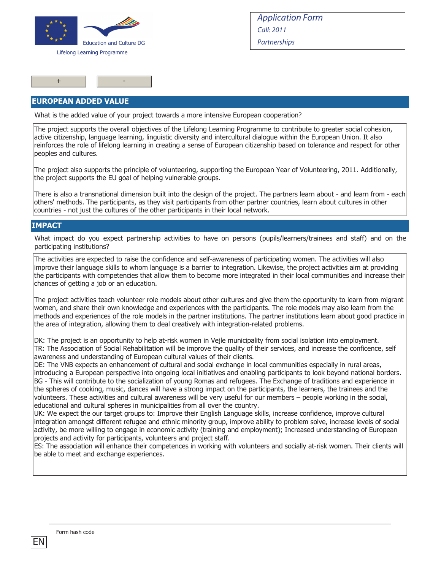

+ -

Application Form Call: 2011 **Partnerships** 

#### **EUROPEAN ADDED VALUE**

What is the added value of your project towards a more intensive European cooperation?

The project supports the overall objectives of the Lifelong Learning Programme to contribute to greater social cohesion, active citizenship, language learning, linguistic diversity and intercultural dialogue within the European Union. It also reinforces the role of lifelong learning in creating a sense of European citizenship based on tolerance and respect for other peoples and cultures.

The project also supports the principle of volunteering, supporting the European Year of Volunteering, 2011. Additionally, the project supports the EU goal of helping vulnerable groups.

There is also a transnational dimension built into the design of the project. The partners learn about - and learn from - each others' methods. The participants, as they visit participants from other partner countries, learn about cultures in other countries - not just the cultures of the other participants in their local network.

#### **IMPACT**

What impact do you expect partnership activities to have on persons (pupils/learners/trainees and staff) and on the participating institutions?

The activities are expected to raise the confidence and self-awareness of participating women. The activities will also improve their language skills to whom language is a barrier to integration. Likewise, the project activities aim at providing the participants with competencies that allow them to become more integrated in their local communities and increase their chances of getting a job or an education.

The project activities teach volunteer role models about other cultures and give them the opportunity to learn from migrant women, and share their own knowledge and experiences with the participants. The role models may also learn from the methods and experiences of the role models in the partner institutions. The partner institutions learn about good practice in the area of integration, allowing them to deal creatively with integration-related problems.

DK: The project is an opportunity to help at-risk women in Vejle municipality from social isolation into employment. TR: The Association of Social Rehabilitation will be improve the quality of their services, and increase the conficence, self awareness and understanding of European cultural values of their clients.

DE: The VNB expects an enhancement of cultural and social exchange in local communities especially in rural areas, introducing a European perspective into ongoing local initiatives and enabling participants to look beyond national borders. BG - This will contribute to the socialization of young Romas and refugees. The Exchange of traditions and experience in the spheres of cooking, music, dances will have a strong impact on the participants, the learners, the trainees and the volunteers. These activities and cultural awareness will be very useful for our members – people working in the social, educational and cultural spheres in municipalities from all over the country.

UK: We expect the our target groups to: Improve their English Language skills, increase confidence, improve cultural integration amongst different refugee and ethnic minority group, improve ability to problem solve, increase levels of social activity, be more willing to engage in economic activity (training and employment); Increased understanding of European projects and activity for participants, volunteers and project staff.

ES: The association will enhance their competences in working with volunteers and socially at-risk women. Their clients will be able to meet and exchange experiences.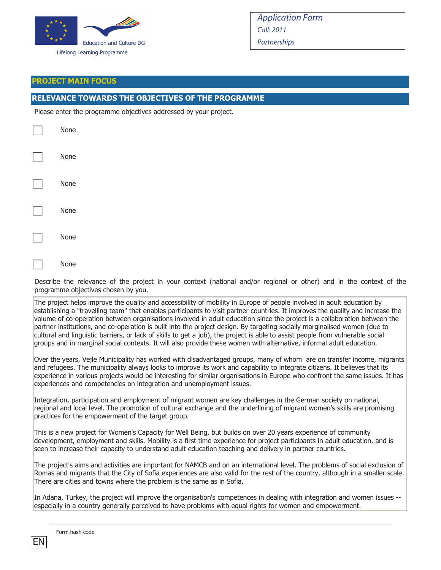

#### **PROJECT MAIN FOCUS**

### **RELEVANCE TOWARDS THE OBJECTIVES OF THE PROGRAMME**

Please enter the programme objectives addressed by your project.

| None |  |
|------|--|
| None |  |
| None |  |
| None |  |
| None |  |
|      |  |

None

Describe the relevance of the project in your context (national and/or regional or other) and in the context of the programme objectives chosen by you.

The project helps improve the quality and accessibility of mobility in Europe of people involved in adult education by establishing a "travelling team" that enables participants to visit partner countries. It improves the quality and increase the volume of co-operation between organisations involved in adult education since the project is a collaboration between the partner institutions, and co-operation is built into the project design. By targeting socially marginalised women (due to cultural and linguistic barriers, or lack of skills to get a job), the project is able to assist people from vulnerable social groups and in marginal social contexts. It will also provide these women with alternative, informal adult education.

Over the years, Vejle Municipality has worked with disadvantaged groups, many of whom are on transfer income, migrants and refugees. The municipality always looks to improve its work and capability to integrate citizens. It believes that its experience in various projects would be interesting for similar organisations in Europe who confront the same issues. It has experiences and competencies on integration and unemployment issues.

Integration, participation and employment of migrant women are key challenges in the German society on national, regional and local level. The promotion of cultural exchange and the underlining of migrant women's skills are promising practices for the empowerment of the target group.

This is a new project for Women's Capacity for Well Being, but builds on over 20 years experience of community development, employment and skills. Mobility is a first time experience for project participants in adult education, and is seen to increase their capacity to understand adult education teaching and delivery in partner countries.

The project's aims and activities are important for NAMCB and on an international level. The problems of social exclusion of Romas and migrants that the City of Sofia experiences are also valid for the rest of the country, although in a smaller scale. There are cities and towns where the problem is the same as in Sofia.

In Adana, Turkey, the project will improve the organisation's competences in dealing with integration and women issues - especially in a country generally perceived to have problems with equal rights for women and empowerment.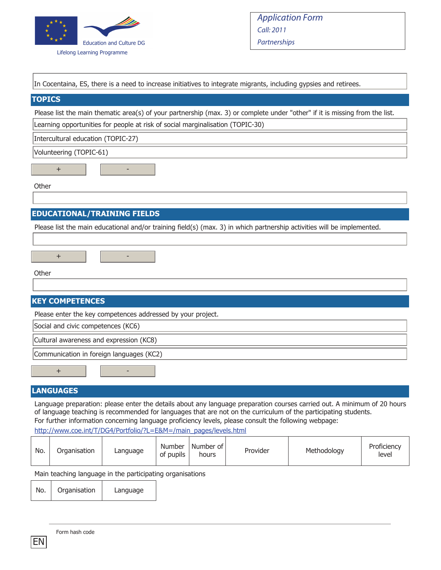

In Cocentaina, ES, there is a need to increase initiatives to integrate migrants, including gypsies and retirees.

| In cocchiama, Lo, there is a neca to increase initiatives to integrate migrants, including gypsics and retireds                                                                                                                             |
|---------------------------------------------------------------------------------------------------------------------------------------------------------------------------------------------------------------------------------------------|
| <b>TOPICS</b>                                                                                                                                                                                                                               |
| Please list the main thematic area(s) of your partnership (max. 3) or complete under "other" if it is missing from the list.                                                                                                                |
| Learning opportunities for people at risk of social marginalisation (TOPIC-30)                                                                                                                                                              |
| Intercultural education (TOPIC-27)                                                                                                                                                                                                          |
| Volunteering (TOPIC-61)                                                                                                                                                                                                                     |
| $+$                                                                                                                                                                                                                                         |
| Other                                                                                                                                                                                                                                       |
|                                                                                                                                                                                                                                             |
| <b>EDUCATIONAL/TRAINING FIELDS</b>                                                                                                                                                                                                          |
| Please list the main educational and/or training field(s) (max. 3) in which partnership activities will be implemented.<br>$+$                                                                                                              |
| Other                                                                                                                                                                                                                                       |
| <b>KEY COMPETENCES</b>                                                                                                                                                                                                                      |
| Please enter the key competences addressed by your project.                                                                                                                                                                                 |
| Social and civic competences (KC6)                                                                                                                                                                                                          |
| Cultural awareness and expression (KC8)                                                                                                                                                                                                     |
| Communication in foreign languages (KC2)                                                                                                                                                                                                    |
| $\ddot{}$                                                                                                                                                                                                                                   |
| <b>LANGUAGES</b>                                                                                                                                                                                                                            |
| Language preparation: please enter the details about any language preparation courses carried out. A minimum of 20 hours<br>of language teaching is recommended for languages that are not on the curriculum of the participating students. |

For further information concerning language proficiency levels, please consult the following webpage:

http://www.coe.int/T/DG4/Portfolio/?L=E&M=/main\_pages/levels.html

| Number of<br>Proficiency<br><b>Number</b><br>No.<br>Provider<br>Organisation<br>Methodoloav<br>Language<br>of pupils<br>level<br>hours |
|----------------------------------------------------------------------------------------------------------------------------------------|
|----------------------------------------------------------------------------------------------------------------------------------------|

Main teaching language in the participating organisations

EN

No. | Organisation | Language

Form hash code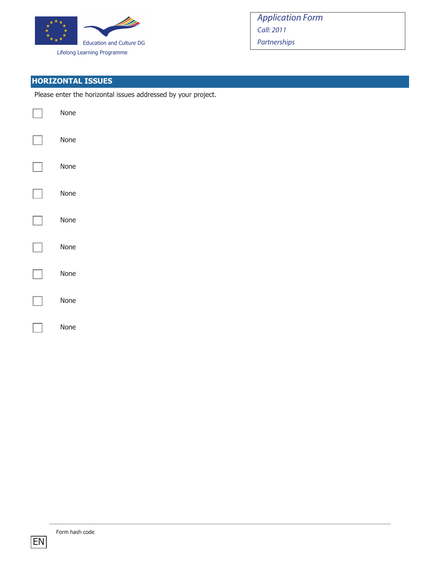

# **HORIZONTAL ISSUES**

Please enter the horizontal issues addressed by your project.

| None |
|------|
| None |
| None |
| None |
| None |
| None |
| None |
| None |
| None |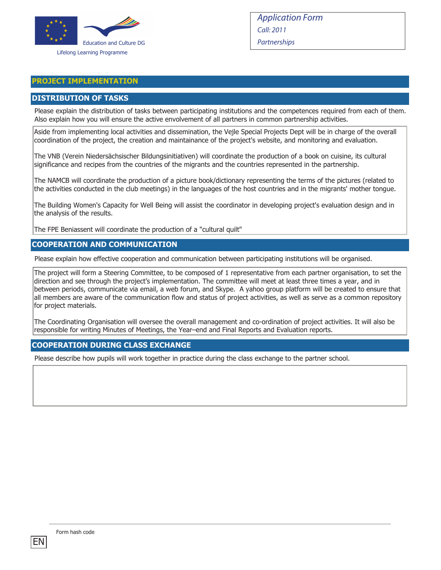

#### **PROJECT IMPLEMENTATION**

#### **DISTRIBUTION OF TASKS**

Please explain the distribution of tasks between participating institutions and the competences required from each of them. Also explain how you will ensure the active envolvement of all partners in common partnership activities.

Aside from implementing local activities and dissemination, the Vejle Special Projects Dept will be in charge of the overall coordination of the project, the creation and maintainance of the project's website, and monitoring and evaluation.

The VNB (Verein Niedersächsischer Bildungsinitiativen) will coordinate the production of a book on cuisine, its cultural significance and recipes from the countries of the migrants and the countries represented in the partnership.

The NAMCB will coordinate the production of a picture book/dictionary representing the terms of the pictures (related to the activities conducted in the club meetings) in the languages of the host countries and in the migrants' mother tongue.

The Building Women's Capacity for Well Being will assist the coordinator in developing project's evaluation design and in the analysis of the results.

The FPE Beniassent will coordinate the production of a "cultural quilt"

#### **COOPERATION AND COMMUNICATION**

Please explain how effective cooperation and communication between participating institutions will be organised.

The project will form a Steering Committee, to be composed of 1 representative from each partner organisation, to set the direction and see through the project's implementation. The committee will meet at least three times a year, and in between periods, communicate via email, a web forum, and Skype. A yahoo group platform will be created to ensure that all members are aware of the communication flow and status of project activities, as well as serve as a common repository for project materials.

The Coordinating Organisation will oversee the overall management and co-ordination of project activities. It will also be responsible for writing Minutes of Meetings, the Year–end and Final Reports and Evaluation reports.

#### **COOPERATION DURING CLASS EXCHANGE**

Please describe how pupils will work together in practice during the class exchange to the partner school.

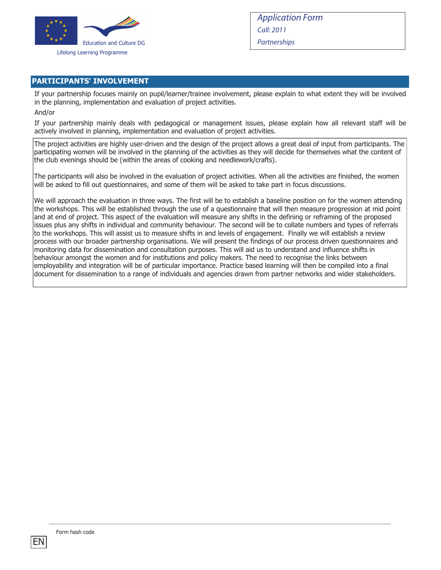

### **PARTICIPANTS' INVOLVEMENT**

If your partnership focuses mainly on pupil/learner/trainee involvement, please explain to what extent they will be involved in the planning, implementation and evaluation of project activities.

#### And/or

If your partnership mainly deals with pedagogical or management issues, please explain how all relevant staff will be actively involved in planning, implementation and evaluation of project activities.

The project activities are highly user-driven and the design of the project allows a great deal of input from participants. The participating women will be involved in the planning of the activities as they will decide for themselves what the content of the club evenings should be (within the areas of cooking and needlework/crafts).

The participants will also be involved in the evaluation of project activities. When all the activities are finished, the women will be asked to fill out questionnaires, and some of them will be asked to take part in focus discussions.

We will approach the evaluation in three ways. The first will be to establish a baseline position on for the women attending the workshops. This will be established through the use of a questionnaire that will then measure progression at mid point and at end of project. This aspect of the evaluation will measure any shifts in the defining or reframing of the proposed issues plus any shifts in individual and community behaviour. The second will be to collate numbers and types of referrals to the workshops. This will assist us to measure shifts in and levels of engagement. Finally we will establish a review process with our broader partnership organisations. We will present the findings of our process driven questionnaires and monitoring data for dissemination and consultation purposes. This will aid us to understand and influence shifts in behaviour amongst the women and for institutions and policy makers. The need to recognise the links between employability and integration will be of particular importance. Practice based learning will then be compiled into a final document for dissemination to a range of individuals and agencies drawn from partner networks and wider stakeholders.

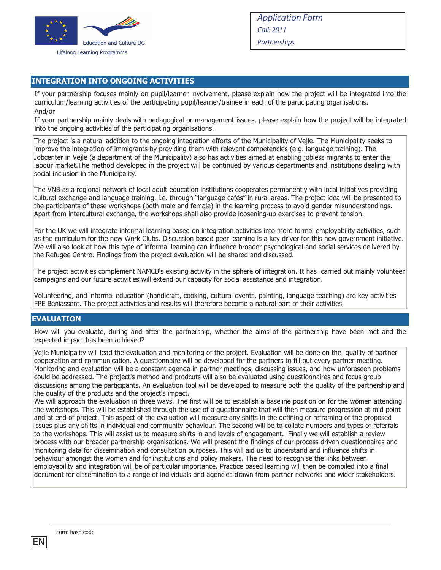

### **INTEGRATION INTO ONGOING ACTIVITIES**

If your partnership focuses mainly on pupil/learner involvement, please explain how the project will be integrated into the curriculum/learning activities of the participating pupil/learner/trainee in each of the participating organisations. And/or

If your partnership mainly deals with pedagogical or management issues, please explain how the project will be integrated into the ongoing activities of the participating organisations.

The project is a natural addition to the ongoing integration efforts of the Municipality of Vejle. The Municipality seeks to improve the integration of immigrants by providing them with relevant competencies (e.g. language training). The Jobcenter in Vejle (a department of the Municipality) also has activities aimed at enabling jobless migrants to enter the labour market.The method developed in the project will be continued by various departments and institutions dealing with social inclusion in the Municipality.

The VNB as a regional network of local adult education institutions cooperates permanently with local initiatives providing cultural exchange and language training, i.e. through "language cafés" in rural areas. The project idea will be presented to the participants of these workshops (both male and female) in the learning process to avoid gender misunderstandings. Apart from intercultural exchange, the workshops shall also provide loosening‐up exercises to prevent tension.

For the UK we will integrate informal learning based on integration activities into more formal employability activities, such as the curriculum for the new Work Clubs. Discussion based peer learning is a key driver for this new government initiative. We will also look at how this type of informal learning can influence broader psychological and social services delivered by the Refugee Centre. Findings from the project evaluation will be shared and discussed.

The project activities complement NAMCB's existing activity in the sphere of integration. It has carried out mainly volunteer campaigns and our future activities will extend our capacity for social assistance and integration.

Volunteering, and informal education (handicraft, cooking, cultural events, painting, language teaching) are key activities FPE Beniassent. The project activities and results will therefore become a natural part of their activities.

#### **EVALUATION**

How will you evaluate, during and after the partnership, whether the aims of the partnership have been met and the expected impact has been achieved?

Vejle Municipality will lead the evaluation and monitoring of the project. Evaluation will be done on the quality of partner cooperation and communication. A questionnaire will be developed for the partners to fill out every partner meeting. Monitoring and evaluation will be a constant agenda in partner meetings, discussing issues, and how unforeseen problems could be addressed. The project's method and prodcuts will also be evaluated using questionnaires and focus group discussions among the participants. An evaluation tool will be developed to measure both the quality of the partnership and the quality of the products and the project's impact.

We will approach the evaluation in three ways. The first will be to establish a baseline position on for the women attending the workshops. This will be established through the use of a questionnaire that will then measure progression at mid point and at end of project. This aspect of the evaluation will measure any shifts in the defining or reframing of the proposed issues plus any shifts in individual and community behaviour. The second will be to collate numbers and types of referrals to the workshops. This will assist us to measure shifts in and levels of engagement. Finally we will establish a review process with our broader partnership organisations. We will present the findings of our process driven questionnaires and monitoring data for dissemination and consultation purposes. This will aid us to understand and influence shifts in behaviour amongst the women and for institutions and policy makers. The need to recognise the links between employability and integration will be of particular importance. Practice based learning will then be compiled into a final document for dissemination to a range of individuals and agencies drawn from partner networks and wider stakeholders.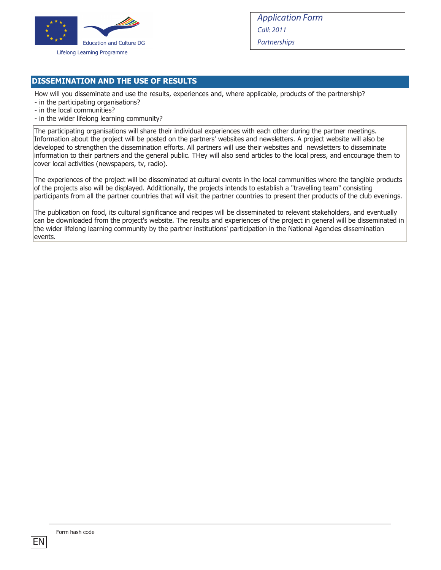

### **DISSEMINATION AND THE USE OF RESULTS**

How will you disseminate and use the results, experiences and, where applicable, products of the partnership?

- in the participating organisations?
- in the local communities?
- in the wider lifelong learning community?

The participating organisations will share their individual experiences with each other during the partner meetings. Information about the project will be posted on the partners' websites and newsletters. A project website will also be developed to strengthen the dissemination efforts. All partners will use their websites and newsletters to disseminate information to their partners and the general public. THey will also send articles to the local press, and encourage them to cover local activities (newspapers, tv, radio).

The experiences of the project will be disseminated at cultural events in the local communities where the tangible products of the projects also will be displayed. Addittionally, the projects intends to establish a "travelling team" consisting participants from all the partner countries that will visit the partner countries to present ther products of the club evenings.

The publication on food, its cultural significance and recipes will be disseminated to relevant stakeholders, and eventually can be downloaded from the project's website. The results and experiences of the project in general will be disseminated in the wider lifelong learning community by the partner institutions' participation in the National Agencies dissemination events.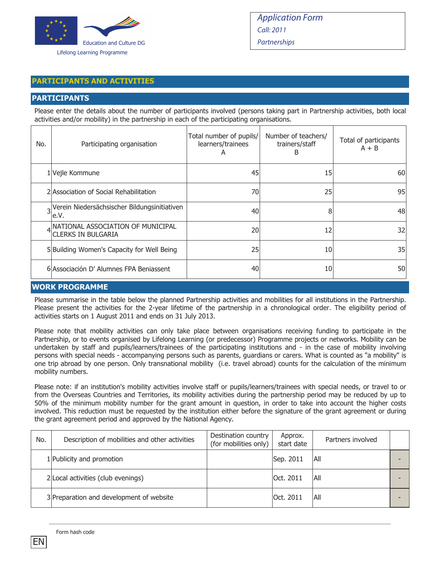

#### **PARTICIPANTS AND ACTIVITIES**

#### **PARTICIPANTS**

Please enter the details about the number of participants involved (persons taking part in Partnership activities, both local activities and/or mobility) in the partnership in each of the participating organisations.

| No. | Participating organisation                                     | Total number of pupils/<br>learners/trainees<br>A | Number of teachers/<br>trainers/staff<br>B | Total of participants<br>$A + B$ |
|-----|----------------------------------------------------------------|---------------------------------------------------|--------------------------------------------|----------------------------------|
|     | 1 Vejle Kommune                                                | 45                                                | 15                                         | 60                               |
|     | 2 Association of Social Rehabilitation                         | 70                                                | 25                                         | 95                               |
|     | Verein Niedersächsischer Bildungsinitiativen<br>le.V.          | 40                                                | 8                                          | 48                               |
|     | NATIONAL ASSOCIATION OF MUNICIPAL<br><b>CLERKS IN BULGARIA</b> | 20                                                | 12                                         | 32                               |
|     | 5 Building Women's Capacity for Well Being                     | 25                                                | 10 <sup>1</sup>                            | 35                               |
|     | 6 Associación D' Alumnes FPA Beniassent                        | 40                                                | 10                                         | 50                               |

#### **WORK PROGRAMME**

Please summarise in the table below the planned Partnership activities and mobilities for all institutions in the Partnership. Please present the activities for the 2-year lifetime of the partnership in a chronological order. The eligibility period of activities starts on 1 August 2011 and ends on 31 July 2013.

Please note that mobility activities can only take place between organisations receiving funding to participate in the Partnership, or to events organised by Lifelong Learning (or predecessor) Programme projects or networks. Mobility can be undertaken by staff and pupils/learners/trainees of the participating institutions and - in the case of mobility involving persons with special needs - accompanying persons such as parents, guardians or carers. What is counted as "a mobility" is one trip abroad by one person. Only transnational mobility (i.e. travel abroad) counts for the calculation of the minimum mobility numbers.

Please note: if an institution's mobility activities involve staff or pupils/learners/trainees with special needs, or travel to or from the Overseas Countries and Territories, its mobility activities during the partnership period may be reduced by up to 50% of the minimum mobility number for the grant amount in question, in order to take into account the higher costs involved. This reduction must be requested by the institution either before the signature of the grant agreement or during the grant agreement period and approved by the National Agency.

| No. | Description of mobilities and other activities | Destination country<br>(for mobilities only) | Approx.<br>start date | Partners involved |  |
|-----|------------------------------------------------|----------------------------------------------|-----------------------|-------------------|--|
|     | 1 Publicity and promotion                      |                                              | Sep. 2011             | IAII              |  |
|     | 2 Local activities (club evenings)             |                                              | Oct. 2011             | All               |  |
|     | 3 Preparation and development of website       |                                              | Oct. 2011             | All               |  |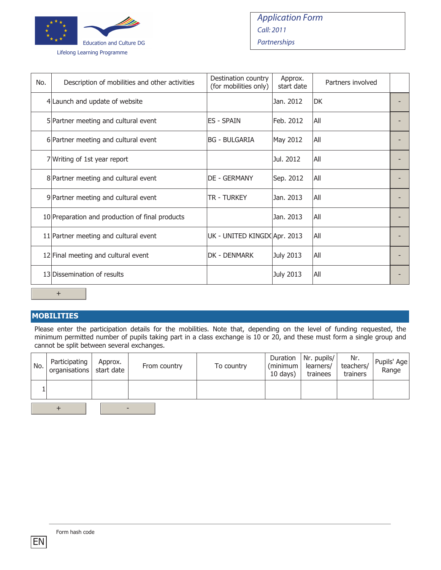

| No. | Description of mobilities and other activities  | Destination country<br>(for mobilities only) | Approx.<br>start date | Partners involved |  |  |  |  |
|-----|-------------------------------------------------|----------------------------------------------|-----------------------|-------------------|--|--|--|--|
|     | 4 Launch and update of website                  |                                              | Jan. 2012             | ldk               |  |  |  |  |
|     | 5 Partner meeting and cultural event            | <b>ES - SPAIN</b>                            | Feb. 2012             | All               |  |  |  |  |
|     | 6 Partner meeting and cultural event            | IBG - BULGARIA                               | May 2012              | All               |  |  |  |  |
|     | 7 Writing of 1st year report                    |                                              | Jul. 2012             | All               |  |  |  |  |
|     | 8 Partner meeting and cultural event            | <b>DE - GERMANY</b>                          | Sep. 2012             | All               |  |  |  |  |
|     | 9 Partner meeting and cultural event            | <b>TR - TURKEY</b>                           | Jan. 2013             | All               |  |  |  |  |
|     | 10 Preparation and production of final products |                                              | Jan. 2013             | All               |  |  |  |  |
|     | 11 Partner meeting and cultural event           | UK - UNITED KINGD(Apr. 2013                  |                       | All               |  |  |  |  |
|     | 12 Final meeting and cultural event             | DK - DENMARK                                 | <b>July 2013</b>      | All               |  |  |  |  |
|     | 13 Dissemination of results                     |                                              | July 2013             | All               |  |  |  |  |
|     | $\pm$                                           |                                              |                       |                   |  |  |  |  |

### **MOBILITIES**

Please enter the participation details for the mobilities. Note that, depending on the level of funding requested, the minimum permitted number of pupils taking part in a class exchange is 10 or 20, and these must form a single group and cannot be split between several exchanges.

| No. | Participating<br>organisations | Approx.<br>start date | From country | To country | $(minimum \mid learners/$<br>$10 \text{ days}$ | Duration   Nr. pupils/<br>trainees | Nr.<br>teachers/<br>trainers | Pupils' Age<br>Range |
|-----|--------------------------------|-----------------------|--------------|------------|------------------------------------------------|------------------------------------|------------------------------|----------------------|
|     |                                |                       |              |            |                                                |                                    |                              |                      |
|     |                                |                       |              |            |                                                |                                    |                              |                      |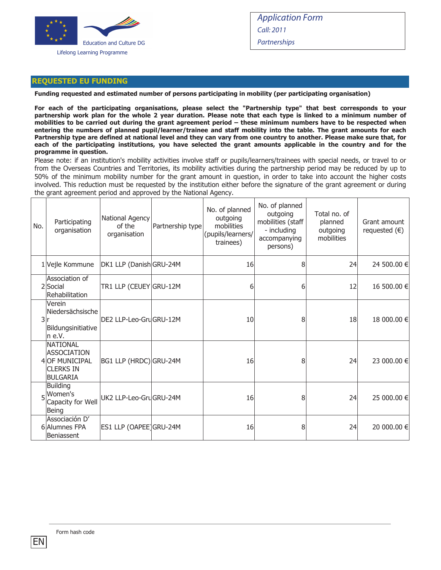

#### **REQUESTED EU FUNDING**

**Funding requested and estimated number of persons participating in mobility (per participating organisation)**

**For each of the participating organisations, please select the "Partnership type" that best corresponds to your partnership work plan for the whole 2 year duration. Please note that each type is linked to a minimum number of mobilities to be carried out during the grant agreement period – these minimum numbers have to be respected when entering the numbers of planned pupil/learner/trainee and staff mobility into the table. The grant amounts for each Partnership type are defined at national level and they can vary from one country to another. Please make sure that, for each of the participating institutions, you have selected the grant amounts applicable in the country and for the programme in question.**

Please note: if an institution's mobility activities involve staff or pupils/learners/trainees with special needs, or travel to or from the Overseas Countries and Territories, its mobility activities during the partnership period may be reduced by up to 50% of the minimum mobility number for the grant amount in question, in order to take into account the higher costs involved. This reduction must be requested by the institution either before the signature of the grant agreement or during the grant agreement period and approved by the National Agency.

| No. | Participating<br>organisation                                                                         | National Agency<br>of the<br>organisation | Partnership type | No. of planned<br>outgoing<br>mobilities<br>(pupils/learners/<br>trainees) | No. of planned<br>outgoing<br>mobilities (staff<br>- including<br>accompanying<br>persons) | Total no. of<br>planned<br>outgoing<br>mobilities | Grant amount<br>requested $(\epsilon)$ |
|-----|-------------------------------------------------------------------------------------------------------|-------------------------------------------|------------------|----------------------------------------------------------------------------|--------------------------------------------------------------------------------------------|---------------------------------------------------|----------------------------------------|
|     | 1 Vejle Kommune                                                                                       | DK1 LLP (Danish GRU-24M                   |                  | 16                                                                         | 8                                                                                          | 24                                                | 24 500.00 €                            |
|     | Association of<br>2Social<br>Rehabilitation                                                           | TR1 LLP (CEUEY GRU-12M                    |                  | 6                                                                          | 6                                                                                          | 12                                                | 16 500.00 €                            |
| 3 r | Verein<br>Niedersächsische<br>Bildungsinitiative<br> n e.V.                                           | DE2 LLP-Leo-GruGRU-12M                    |                  | 10                                                                         | 8                                                                                          | 18                                                | 18 000.00 €                            |
|     | <b>NATIONAL</b><br><b>ASSOCIATION</b><br><b>4 OF MUNICIPAL</b><br><b>CLERKS IN</b><br><b>BULGARIA</b> | BG1 LLP (HRDC) GRU-24M                    |                  | 16                                                                         | 8                                                                                          | 24                                                | 23 000.00 €                            |
| 5   | <b>Building</b><br>Women's<br>Capacity for Well<br><b>Being</b>                                       | UK2 LLP-Leo-GruGRU-24M                    |                  | 16                                                                         | 8                                                                                          | 24                                                | 25 000.00 €                            |
|     | Associación D'<br>6 Alumnes FPA<br>Beniassent                                                         | ES1 LLP (OAPEE)GRU-24M                    |                  | 16                                                                         | 8                                                                                          | 24                                                | 20 000.00 €                            |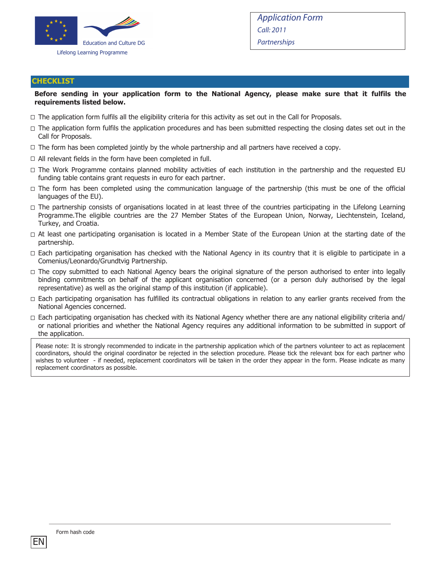

#### **CHECKLIST**

#### **Before sending in your application form to the National Agency, please make sure that it fulfils the requirements listed below.**

- $\Box$  The application form fulfils all the eligibility criteria for this activity as set out in the Call for Proposals.
- $\Box$  The application form fulfils the application procedures and has been submitted respecting the closing dates set out in the Call for Proposals.
- $\Box$  The form has been completed jointly by the whole partnership and all partners have received a copy.
- $\Box$  All relevant fields in the form have been completed in full.
- $\Box$  The Work Programme contains planned mobility activities of each institution in the partnership and the requested EU funding table contains grant requests in euro for each partner.
- $\Box$  The form has been completed using the communication language of the partnership (this must be one of the official languages of the EU).
- $\Box$  The partnership consists of organisations located in at least three of the countries participating in the Lifelong Learning Programme.The eligible countries are the 27 Member States of the European Union, Norway, Liechtenstein, Iceland, Turkey, and Croatia.
- $\Box$  At least one participating organisation is located in a Member State of the European Union at the starting date of the partnership.
- $\Box$  Each participating organisation has checked with the National Agency in its country that it is eligible to participate in a Comenius/Leonardo/Grundtvig Partnership.
- $\Box$  The copy submitted to each National Agency bears the original signature of the person authorised to enter into legally binding commitments on behalf of the applicant organisation concerned (or a person duly authorised by the legal representative) as well as the original stamp of this institution (if applicable).
- $\Box$  Each participating organisation has fulfilled its contractual obligations in relation to any earlier grants received from the National Agencies concerned.
- $\Box$  Each participating organisation has checked with its National Agency whether there are any national eligibility criteria and/ or national priorities and whether the National Agency requires any additional information to be submitted in support of the application.

Please note: It is strongly recommended to indicate in the partnership application which of the partners volunteer to act as replacement coordinators, should the original coordinator be rejected in the selection procedure. Please tick the relevant box for each partner who wishes to volunteer - if needed, replacement coordinators will be taken in the order they appear in the form. Please indicate as many replacement coordinators as possible.

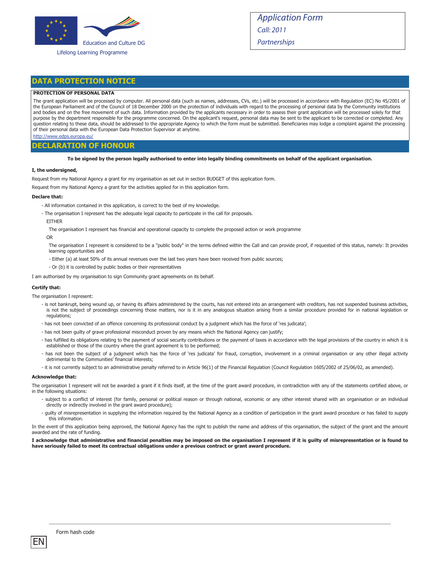

#### Lifelong Learning Programme

Application Form Call: 2011 **Partnerships** 

#### **DATA PROTECTION NOTICE**

#### **PROTECTION OF PERSONAL DATA**

The grant application will be processed by computer. All personal data (such as names, addresses, CVs, etc.) will be processed in accordance with Regulation (EC) No 45/2001 of the European Parliament and of the Council of 18 December 2000 on the protection of individuals with regard to the processing of personal data by the Community institutions and bodies and on the free movement of such data. Information provided by the applicants necessary in order to assess their grant application will be processed solely for that purpose by the department responsible for the programme concerned. On the applicant's request, personal data may be sent to the applicant to be corrected or completed. Any question relating to these data, should be addressed to the appropriate Agency to which the form must be submitted. Beneficiaries may lodge a complaint against the processing of their personal data with the European Data Protection Supervisor at anytime.

http://www.edps.europa.eu/

#### **DECLARATION OF HONOUR**

**To be signed by the person legally authorised to enter into legally binding commitments on behalf of the applicant organisation.** 

#### **I, the undersigned,**

Request from my National Agency a grant for my organisation as set out in section BUDGET of this application form.

Request from my National Agency a grant for the activities applied for in this application form.

#### **Declare that:**

- All information contained in this application, is correct to the best of my knowledge.
- The organisation I represent has the adequate legal capacity to participate in the call for proposals.
- EITHER

The organisation I represent has financial and operational capacity to complete the proposed action or work programme

#### OR

The organisation I represent is considered to be a "public body" in the terms defined within the Call and can provide proof, if requested of this status, namely: It provides learning opportunities and

- Either (a) at least 50% of its annual revenues over the last two years have been received from public sources;
- Or (b) it is controlled by public bodies or their representatives

I am authorised by my organisation to sign Community grant agreements on its behalf.

#### **Certify that:**

The organisation I represent:

- is not bankrupt, being wound up, or having its affairs administered by the courts, has not entered into an arrangement with creditors, has not suspended business activities, is not the subject of proceedings concerning those matters, nor is it in any analogous situation arising from a similar procedure provided for in national legislation or regulations;
- has not been convicted of an offence concerning its professional conduct by a judgment which has the force of 'res judicata';
- has not been guilty of grave professional misconduct proven by any means which the National Agency can justify;
- has fulfilled its obligations relating to the payment of social security contributions or the payment of taxes in accordance with the legal provisions of the country in which it is established or those of the country where the grant agreement is to be performed;
- has not been the subject of a judgment which has the force of 'res judicata' for fraud, corruption, involvement in a criminal organisation or any other illegal activity detrimental to the Communities' financial interests;
- it is not currently subject to an administrative penalty referred to in Article 96(1) of the Financial Regulation (Council Regulation 1605/2002 of 25/06/02, as amended).

#### **Acknowledge that:**

The organisation I represent will not be awarded a grant if it finds itself, at the time of the grant award procedure, in contradiction with any of the statements certified above, or in the following situations:

- subject to a conflict of interest (for family, personal or political reason or through national, economic or any other interest shared with an organisation or an individual directly or indirectly involved in the grant award procedure);
- guilty of misrepresentation in supplying the information required by the National Agency as a condition of participation in the grant award procedure or has failed to supply this information.

In the event of this application being approved, the National Agency has the right to publish the name and address of this organisation, the subject of the grant and the amount awarded and the rate of funding.

#### **I acknowledge that administrative and financial penalties may be imposed on the organisation I represent if it is guilty of misrepresentation or is found to have seriously failed to meet its contractual obligations under a previous contract or grant award procedure.**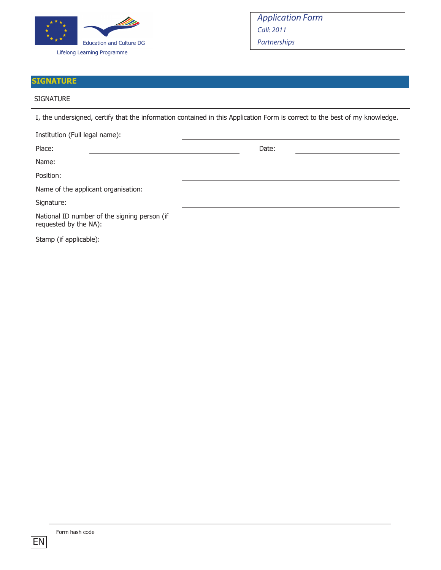

# **SIGNATURE**

#### SIGNATURE

|                                                                       | I, the undersigned, certify that the information contained in this Application Form is correct to the best of my knowledge. |  |  |  |  |
|-----------------------------------------------------------------------|-----------------------------------------------------------------------------------------------------------------------------|--|--|--|--|
| Institution (Full legal name):                                        |                                                                                                                             |  |  |  |  |
| Place:                                                                | Date:                                                                                                                       |  |  |  |  |
| Name:                                                                 |                                                                                                                             |  |  |  |  |
| Position:                                                             |                                                                                                                             |  |  |  |  |
| Name of the applicant organisation:                                   |                                                                                                                             |  |  |  |  |
| Signature:                                                            |                                                                                                                             |  |  |  |  |
| National ID number of the signing person (if<br>requested by the NA): |                                                                                                                             |  |  |  |  |
| Stamp (if applicable):                                                |                                                                                                                             |  |  |  |  |
|                                                                       |                                                                                                                             |  |  |  |  |